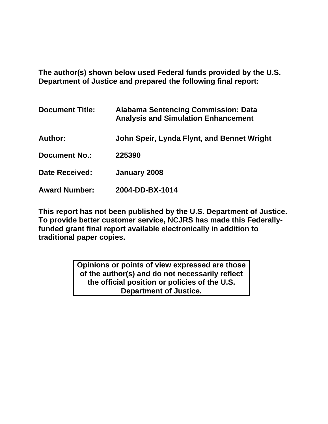**The author(s) shown below used Federal funds provided by the U.S. Department of Justice and prepared the following final report:** 

| <b>Document Title:</b> | <b>Alabama Sentencing Commission: Data</b><br><b>Analysis and Simulation Enhancement</b> |
|------------------------|------------------------------------------------------------------------------------------|
| Author:                | John Speir, Lynda Flynt, and Bennet Wright                                               |
| <b>Document No.:</b>   | 225390                                                                                   |
| <b>Date Received:</b>  | January 2008                                                                             |
| <b>Award Number:</b>   | 2004-DD-BX-1014                                                                          |

**This report has not been published by the U.S. Department of Justice. To provide better customer service, NCJRS has made this Federallyfunded grant final report available electronically in addition to traditional paper copies.**

> **Opinions or points of view expressed are those of the author(s) and do not necessarily reflect the official position or policies of the U.S. Department of Justice.**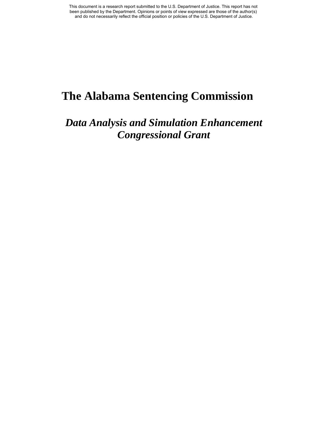# **The Alabama Sentencing Commission**

# *Data Analysis and Simulation Enhancement Congressional Grant*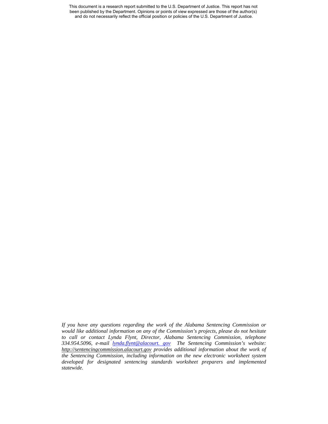This document is a research report submitted to the U.S. Department of Justice. This report has not been published by the Department. Opinions or points of view expressed are those of the author(s) and do not necessarily reflect the official position or policies of the U.S. Department of Justice.

*If you have any questions regarding the work of the Alabama Sentencing Commission or would like additional information on any of the Commission's projects, please do not hesitate to call or contact Lynda Flynt, Director, Alabama Sentencing Commission, telephone 334.954.5096, e-mail lynda.flynt@alacourt. gov The Sentencing Commission's website: http://sentencingcommission.alacourt.gov provides additional information about the work of the Sentencing Commission, including information on the new electronic worksheet system developed for designated sentencing standards worksheet preparers and implemented statewide.*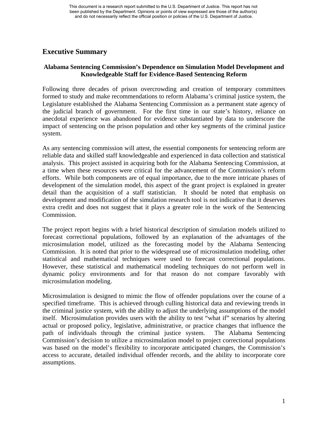## **Executive Summary**

## **Alabama Sentencing Commission's Dependence on Simulation Model Development and Knowledgeable Staff for Evidence-Based Sentencing Reform**

Following three decades of prison overcrowding and creation of temporary committees formed to study and make recommendations to reform Alabama's criminal justice system, the Legislature established the Alabama Sentencing Commission as a permanent state agency of the judicial branch of government. For the first time in our state's history, reliance on anecdotal experience was abandoned for evidence substantiated by data to underscore the impact of sentencing on the prison population and other key segments of the criminal justice system.

As any sentencing commission will attest, the essential components for sentencing reform are reliable data and skilled staff knowledgeable and experienced in data collection and statistical analysis. This project assisted in acquiring both for the Alabama Sentencing Commission, at a time when these resources were critical for the advancement of the Commission's reform efforts. While both components are of equal importance, due to the more intricate phases of development of the simulation model, this aspect of the grant project is explained in greater detail than the acquisition of a staff statistician. It should be noted that emphasis on development and modification of the simulation research tool is not indicative that it deserves extra credit and does not suggest that it plays a greater role in the work of the Sentencing Commission.

The project report begins with a brief historical description of simulation models utilized to forecast correctional populations, followed by an explanation of the advantages of the microsimulation model, utilized as the forecasting model by the Alabama Sentencing Commission. It is noted that prior to the widespread use of microsimulation modeling, other statistical and mathematical techniques were used to forecast correctional populations. However, these statistical and mathematical modeling techniques do not perform well in dynamic policy environments and for that reason do not compare favorably with microsimulation modeling.

Microsimulation is designed to mimic the flow of offender populations over the course of a specified timeframe. This is achieved through culling historical data and reviewing trends in the criminal justice system, with the ability to adjust the underlying assumptions of the model itself. Microsimulation provides users with the ability to test "what if" scenarios by altering actual or proposed policy, legislative, administrative, or practice changes that influence the path of individuals through the criminal justice system. The Alabama Sentencing Commission's decision to utilize a microsimulation model to project correctional populations was based on the model's flexibility to incorporate anticipated changes, the Commission's access to accurate, detailed individual offender records, and the ability to incorporate core assumptions.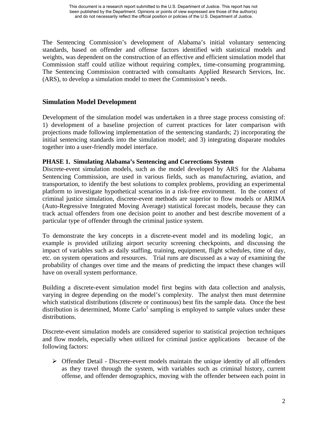The Sentencing Commission's development of Alabama's initial voluntary sentencing standards, based on offender and offense factors identified with statistical models and weights, was dependent on the construction of an effective and efficient simulation model that Commission staff could utilize without requiring complex, time-consuming programming. The Sentencing Commission contracted with consultants Applied Research Services, Inc. (ARS), to develop a simulation model to meet the Commission's needs.

## **Simulation Model Development**

Development of the simulation model was undertaken in a three stage process consisting of: 1) development of a baseline projection of current practices for later comparison with projections made following implementation of the sentencing standards; 2) incorporating the initial sentencing standards into the simulation model; and 3) integrating disparate modules together into a user-friendly model interface.

## **PHASE 1. Simulating Alabama's Sentencing and Corrections System**

Discrete-event simulation models, such as the model developed by ARS for the Alabama Sentencing Commission, are used in various fields, such as manufacturing, aviation, and transportation, to identify the best solutions to complex problems, providing an experimental platform to investigate hypothetical scenarios in a risk-free environment. In the context of criminal justice simulation, discrete-event methods are superior to flow models or ARIMA (Auto-Regressive Integrated Moving Average) statistical forecast models, because they can track actual offenders from one decision point to another and best describe movement of a particular type of offender through the criminal justice system.

To demonstrate the key concepts in a discrete-event model and its modeling logic, an example is provided utilizing airport security screening checkpoints, and discussing the impact of variables such as daily staffing, training, equipment, flight schedules, time of day, etc. on system operations and resources. Trial runs are discussed as a way of examining the probability of changes over time and the means of predicting the impact these changes will have on overall system performance.

Building a discrete-event simulation model first begins with data collection and analysis, varying in degree depending on the model's complexity. The analyst then must determine which statistical distributions (discrete or continuous) best fits the sample data. Once the best distribution is determined, Monte Carlo<sup>1</sup> sampling is employed to sample values under these distributions.

Discrete-event simulation models are considered superior to statistical projection techniques and flow models, especially when utilized for criminal justice applications because of the following factors:

 $\triangleright$  Offender Detail - Discrete-event models maintain the unique identity of all offenders as they travel through the system, with variables such as criminal history, current offense, and offender demographics, moving with the offender between each point in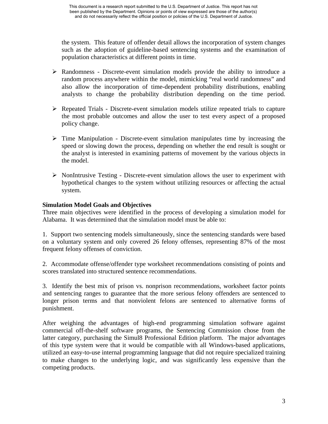the system. This feature of offender detail allows the incorporation of system changes such as the adoption of guideline-based sentencing systems and the examination of population characteristics at different points in time.

- $\triangleright$  Randomness Discrete-event simulation models provide the ability to introduce a random process anywhere within the model, mimicking "real world randomness" and also allow the incorporation of time-dependent probability distributions, enabling analysts to change the probability distribution depending on the time period.
- $\triangleright$  Repeated Trials Discrete-event simulation models utilize repeated trials to capture the most probable outcomes and allow the user to test every aspect of a proposed policy change.
- $\triangleright$  Time Manipulation Discrete-event simulation manipulates time by increasing the speed or slowing down the process, depending on whether the end result is sought or the analyst is interested in examining patterns of movement by the various objects in the model.
- $\triangleright$  NonIntrusive Testing Discrete-event simulation allows the user to experiment with hypothetical changes to the system without utilizing resources or affecting the actual system.

## **Simulation Model Goals and Objectives**

Three main objectives were identified in the process of developing a simulation model for Alabama. It was determined that the simulation model must be able to:

1. Support two sentencing models simultaneously, since the sentencing standards were based on a voluntary system and only covered 26 felony offenses, representing 87% of the most frequent felony offenses of conviction.

2. Accommodate offense/offender type worksheet recommendations consisting of points and scores translated into structured sentence recommendations.

3. Identify the best mix of prison vs. nonprison recommendations, worksheet factor points and sentencing ranges to guarantee that the more serious felony offenders are sentenced to longer prison terms and that nonviolent felons are sentenced to alternative forms of punishment.

After weighing the advantages of high-end programming simulation software against commercial off-the-shelf software programs, the Sentencing Commission chose from the latter category, purchasing the Simul8 Professional Edition platform. The major advantages of this type system were that it would be compatible with all Windows-based applications, utilized an easy-to-use internal programming language that did not require specialized training to make changes to the underlying logic, and was significantly less expensive than the competing products.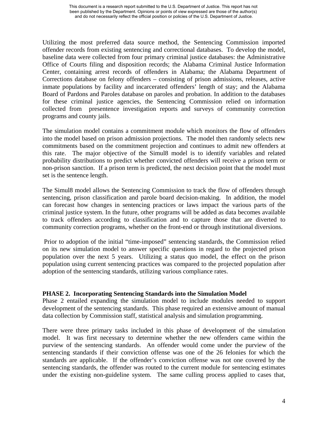Utilizing the most preferred data source method, the Sentencing Commission imported offender records from existing sentencing and correctional databases. To develop the model, baseline data were collected from four primary criminal justice databases: the Administrative Office of Courts filing and disposition records; the Alabama Criminal Justice Information Center, containing arrest records of offenders in Alabama; the Alabama Department of Corrections database on felony offenders – consisting of prison admissions, releases, active inmate populations by facility and incarcerated offenders' length of stay; and the Alabama Board of Pardons and Paroles database on paroles and probation. In addition to the databases for these criminal justice agencies, the Sentencing Commission relied on information collected from presentence investigation reports and surveys of community correction programs and county jails.

The simulation model contains a commitment module which monitors the flow of offenders into the model based on prison admission projections. The model then randomly selects new commitments based on the commitment projection and continues to admit new offenders at this rate. The major objective of the Simul8 model is to identify variables and related probability distributions to predict whether convicted offenders will receive a prison term or non-prison sanction. If a prison term is predicted, the next decision point that the model must set is the sentence length.

The Simul8 model allows the Sentencing Commission to track the flow of offenders through sentencing, prison classification and parole board decision-making. In addition, the model can forecast how changes in sentencing practices or laws impact the various parts of the criminal justice system. In the future, other programs will be added as data becomes available to track offenders according to classification and to capture those that are diverted to community correction programs, whether on the front-end or through institutional diversions.

Prior to adoption of the initial "time-imposed" sentencing standards, the Commission relied on its new simulation model to answer specific questions in regard to the projected prison population over the next 5 years. Utilizing a status quo model, the effect on the prison population using current sentencing practices was compared to the projected population after adoption of the sentencing standards, utilizing various compliance rates.

## **PHASE 2. Incorporating Sentencing Standards into the Simulation Model**

Phase 2 entailed expanding the simulation model to include modules needed to support development of the sentencing standards. This phase required an extensive amount of manual data collection by Commission staff, statistical analysis and simulation programming.

There were three primary tasks included in this phase of development of the simulation model. It was first necessary to determine whether the new offenders came within the purview of the sentencing standards. An offender would come under the purview of the sentencing standards if their conviction offense was one of the 26 felonies for which the standards are applicable. If the offender's conviction offense was not one covered by the sentencing standards, the offender was routed to the current module for sentencing estimates under the existing non-guideline system. The same culling process applied to cases that,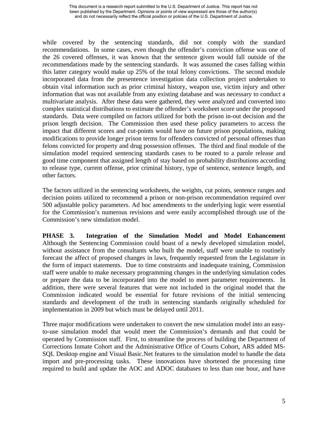while covered by the sentencing standards, did not comply with the standard recommendations. In some cases, even though the offender's conviction offense was one of the 26 covered offenses, it was known that the sentence given would fall outside of the recommendations made by the sentencing standards. It was assumed the cases falling within this latter category would make up 25% of the total felony convictions. The second module incorporated data from the presentence investigation data collection project undertaken to obtain vital information such as prior criminal history, weapon use, victim injury and other information that was not available from any existing database and was necessary to conduct a multivariate analysis. After these data were gathered, they were analyzed and converted into complex statistical distributions to estimate the offender's worksheet score under the proposed standards. Data were compiled on factors utilized for both the prison in-out decision and the prison length decision. The Commission then used these policy parameters to access the impact that different scores and cut-points would have on future prison populations, making modifications to provide longer prison terms for offenders convicted of personal offenses than felons convicted for property and drug possession offenses. The third and final module of the simulation model required sentencing standards cases to be routed to a parole release and good time component that assigned length of stay based on probability distributions according to release type, current offense, prior criminal history, type of sentence, sentence length, and other factors.

The factors utilized in the sentencing worksheets, the weights, cut points, sentence ranges and decision points utilized to recommend a prison or non-prison recommendation required over 500 adjustable policy parameters. Ad hoc amendments to the underlying logic were essential for the Commission's numerous revisions and were easily accomplished through use of the Commission's new simulation model.

**PHASE 3. Integration of the Simulation Model and Model Enhancement**  Although the Sentencing Commission could boast of a newly developed simulation model, without assistance from the consultants who built the model, staff were unable to routinely forecast the affect of proposed changes in laws, frequently requested from the Legislature in the form of impact statements. Due to time constraints and inadequate training, Commission staff were unable to make necessary programming changes in the underlying simulation codes or prepare the data to be incorporated into the model to meet parameter requirements. In addition, there were several features that were not included in the original model that the Commission indicated would be essential for future revisions of the initial sentencing standards and development of the truth in sentencing standards originally scheduled for implementation in 2009 but which must be delayed until 2011.

Three major modifications were undertaken to convert the new simulation model into an easyto-use simulation model that would meet the Commission's demands and that could be operated by Commission staff. First, to streamline the process of building the Department of Corrections Inmate Cohort and the Administrative Office of Courts Cohort, ARS added MS-SQL Desktop engine and Visual Basic.Net features to the simulation model to handle the data import and pre-processing tasks. These innovations have shortened the processing time required to build and update the AOC and ADOC databases to less than one hour, and have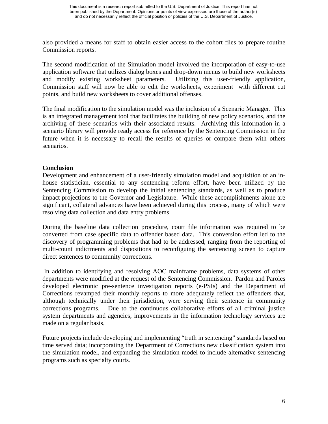also provided a means for staff to obtain easier access to the cohort files to prepare routine Commission reports.

The second modification of the Simulation model involved the incorporation of easy-to-use application software that utilizes dialog boxes and drop-down menus to build new worksheets and modify existing worksheet parameters. Utilizing this user-friendly application, Commission staff will now be able to edit the worksheets, experiment with different cut points, and build new worksheets to cover additional offenses.

The final modification to the simulation model was the inclusion of a Scenario Manager. This is an integrated management tool that facilitates the building of new policy scenarios, and the archiving of these scenarios with their associated results. Archiving this information in a scenario library will provide ready access for reference by the Sentencing Commission in the future when it is necessary to recall the results of queries or compare them with others scenarios.

## **Conclusion**

Development and enhancement of a user-friendly simulation model and acquisition of an inhouse statistician, essential to any sentencing reform effort, have been utilized by the Sentencing Commission to develop the initial sentencing standards, as well as to produce impact projections to the Governor and Legislature. While these accomplishments alone are significant, collateral advances have been achieved during this process, many of which were resolving data collection and data entry problems.

During the baseline data collection procedure, court file information was required to be converted from case specific data to offender based data. This conversion effort led to the discovery of programming problems that had to be addressed, ranging from the reporting of multi-count indictments and dispositions to reconfiguing the sentencing screen to capture direct sentences to community corrections.

In addition to identifying and resolving AOC mainframe problems, data systems of other departments were modified at the request of the Sentencing Commission. Pardon and Paroles developed electronic pre-sentence investigation reports (e-PSIs) and the Department of Corrections revamped their monthly reports to more adequately reflect the offenders that, although technically under their jurisdiction, were serving their sentence in community corrections programs. Due to the continuous collaborative efforts of all criminal justice system departments and agencies, improvements in the information technology services are made on a regular basis,

Future projects include developing and implementing "truth in sentencing" standards based on time served data; incorporating the Department of Corrections new classification system into the simulation model, and expanding the simulation model to include alternative sentencing programs such as specialty courts.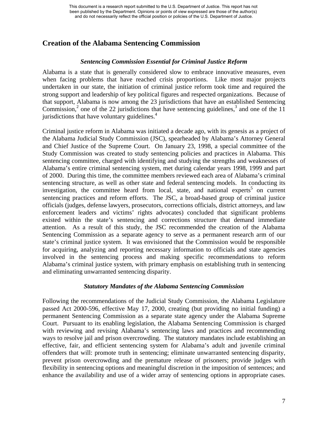## **Creation of the Alabama Sentencing Commission**

## *Sentencing Commission Essential for Criminal Justice Reform*

Alabama is a state that is generally considered slow to embrace innovative measures, even when facing problems that have reached crisis proportions. Like most major projects undertaken in our state, the initiation of criminal justice reform took time and required the strong support and leadership of key political figures and respected organizations. Because of that support, Alabama is now among the 23 jurisdictions that have an established Sentencing Commission,<sup>2</sup> one of the 22 jurisdictions that have sentencing guidelines,<sup>3</sup> and one of the 11 jurisdictions that have voluntary guidelines. $4$ 

Criminal justice reform in Alabama was initiated a decade ago, with its genesis as a project of the Alabama Judicial Study Commission (JSC), spearheaded by Alabama's Attorney General and Chief Justice of the Supreme Court. On January 23, 1998, a special committee of the Study Commission was created to study sentencing policies and practices in Alabama. This sentencing committee, charged with identifying and studying the strengths and weaknesses of Alabama's entire criminal sentencing system, met during calendar years 1998, 1999 and part of 2000. During this time, the committee members reviewed each area of Alabama's criminal sentencing structure, as well as other state and federal sentencing models. In conducting its investigation, the committee heard from local, state, and national experts<sup>5</sup> on current sentencing practices and reform efforts. The JSC, a broad-based group of criminal justice officials (judges, defense lawyers, prosecutors, corrections officials, district attorneys, and law enforcement leaders and victims' rights advocates) concluded that significant problems existed within the state's sentencing and corrections structure that demand immediate attention. As a result of this study, the JSC recommended the creation of the Alabama Sentencing Commission as a separate agency to serve as a permanent research arm of our state's criminal justice system. It was envisioned that the Commission would be responsible for acquiring, analyzing and reporting necessary information to officials and state agencies involved in the sentencing process and making specific recommendations to reform Alabama's criminal justice system, with primary emphasis on establishing truth in sentencing and eliminating unwarranted sentencing disparity.

#### *Statutory Mandates of the Alabama Sentencing Commission*

Following the recommendations of the Judicial Study Commission, the Alabama Legislature passed Act 2000-596, effective May 17, 2000, creating (but providing no initial funding) a permanent Sentencing Commission as a separate state agency under the Alabama Supreme Court. Pursuant to its enabling legislation, the Alabama Sentencing Commission is charged with reviewing and revising Alabama's sentencing laws and practices and recommending ways to resolve jail and prison overcrowding. The statutory mandates include establishing an effective, fair, and efficient sentencing system for Alabama's adult and juvenile criminal offenders that will: promote truth in sentencing; eliminate unwarranted sentencing disparity, prevent prison overcrowding and the premature release of prisoners; provide judges with flexibility in sentencing options and meaningful discretion in the imposition of sentences; and enhance the availability and use of a wider array of sentencing options in appropriate cases.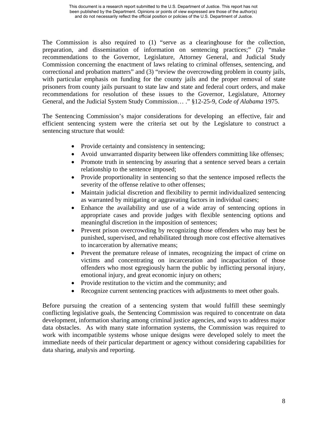The Commission is also required to (1) "serve as a clearinghouse for the collection, preparation, and dissemination of information on sentencing practices;" (2) "make recommendations to the Governor, Legislature, Attorney General, and Judicial Study Commission concerning the enactment of laws relating to criminal offenses, sentencing, and correctional and probation matters" and (3) "review the overcrowding problem in county jails, with particular emphasis on funding for the county jails and the proper removal of state prisoners from county jails pursuant to state law and state and federal court orders, and make recommendations for resolution of these issues to the Governor, Legislature, Attorney General, and the Judicial System Study Commission… ." §12-25-9, *Code of Alabama* 1975.

The Sentencing Commission's major considerations for developing an effective, fair and efficient sentencing system were the criteria set out by the Legislature to construct a sentencing structure that would:

- Provide certainty and consistency in sentencing;
- Avoid unwarranted disparity between like offenders committing like offenses;
- Promote truth in sentencing by assuring that a sentence served bears a certain relationship to the sentence imposed;
- Provide proportionality in sentencing so that the sentence imposed reflects the severity of the offense relative to other offenses;
- Maintain judicial discretion and flexibility to permit individualized sentencing as warranted by mitigating or aggravating factors in individual cases;
- Enhance the availability and use of a wide array of sentencing options in appropriate cases and provide judges with flexible sentencing options and meaningful discretion in the imposition of sentences;
- Prevent prison overcrowding by recognizing those offenders who may best be punished, supervised, and rehabilitated through more cost effective alternatives to incarceration by alternative means;
- Prevent the premature release of inmates, recognizing the impact of crime on victims and concentrating on incarceration and incapacitation of those offenders who most egregiously harm the public by inflicting personal injury, emotional injury, and great economic injury on others;
- Provide restitution to the victim and the community; and
- Recognize current sentencing practices with adjustments to meet other goals.

Before pursuing the creation of a sentencing system that would fulfill these seemingly conflicting legislative goals, the Sentencing Commission was required to concentrate on data development, information sharing among criminal justice agencies, and ways to address major data obstacles. As with many state information systems, the Commission was required to work with incompatible systems whose unique designs were developed solely to meet the immediate needs of their particular department or agency without considering capabilities for data sharing, analysis and reporting.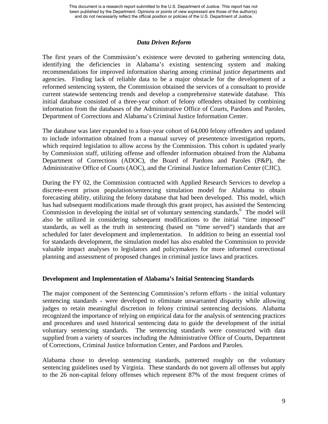#### *Data Driven Reform*

The first years of the Commission's existence were devoted to gathering sentencing data, identifying the deficiencies in Alabama's existing sentencing system and making recommendations for improved information sharing among criminal justice departments and agencies. Finding lack of reliable data to be a major obstacle for the development of a reformed sentencing system, the Commission obtained the services of a consultant to provide current statewide sentencing trends and develop a comprehensive statewide database. This initial database consisted of a three-year cohort of felony offenders obtained by combining information from the databases of the Administrative Office of Courts, Pardons and Paroles, Department of Corrections and Alabama's Criminal Justice Information Center.

The database was later expanded to a four-year cohort of 64,000 felony offenders and updated to include information obtained from a manual survey of presentence investigation reports, which required legislation to allow access by the Commission. This cohort is updated yearly by Commission staff, utilizing offense and offender information obtained from the Alabama Department of Corrections (ADOC), the Board of Pardons and Paroles (P&P), the Administrative Office of Courts (AOC), and the Criminal Justice Information Center (CJIC).

During the FY 02, the Commission contracted with Applied Research Services to develop a discrete-event prison population/sentencing simulation model for Alabama to obtain forecasting ability, utilizing the felony database that had been developed. This model, which has had subsequent modifications made through this grant project, has assisted the Sentencing Commission in developing the initial set of voluntary sentencing standards.<sup>6</sup> The model will also be utilized in considering subsequent modifications to the initial "time imposed" standards, as well as the truth in sentencing (based on "time served") standards that are scheduled for later development and implementation. In addition to being an essential tool for standards development, the simulation model has also enabled the Commission to provide valuable impact analyses to legislators and policymakers for more informed correctional planning and assessment of proposed changes in criminal justice laws and practices.

## **Development and Implementation of Alabama's Initial Sentencing Standards**

The major component of the Sentencing Commission's reform efforts - the initial voluntary sentencing standards - were developed to eliminate unwarranted disparity while allowing judges to retain meaningful discretion in felony criminal sentencing decisions. Alabama recognized the importance of relying on empirical data for the analysis of sentencing practices and procedures and used historical sentencing data to guide the development of the initial voluntary sentencing standards. The sentencing standards were constructed with data supplied from a variety of sources including the Administrative Office of Courts, Department of Corrections, Criminal Justice Information Center, and Pardons and Paroles.

Alabama chose to develop sentencing standards, patterned roughly on the voluntary sentencing guidelines used by Virginia. These standards do not govern all offenses but apply to the 26 non-capital felony offenses which represent 87% of the most frequent crimes of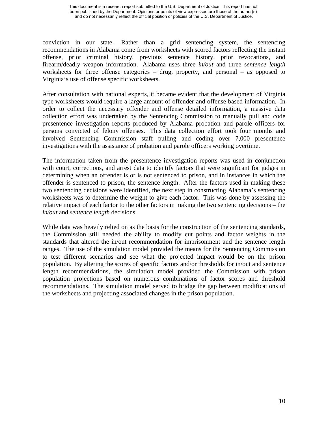conviction in our state. Rather than a grid sentencing system, the sentencing recommendations in Alabama come from worksheets with scored factors reflecting the instant offense, prior criminal history, previous sentence history, prior revocations, and firearm/deadly weapon information. Alabama uses three *in/out* and three s*entence length*  worksheets for three offense categories – drug, property, and personal – as opposed to Virginia's use of offense specific worksheets.

After consultation with national experts, it became evident that the development of Virginia type worksheets would require a large amount of offender and offense based information. In order to collect the necessary offender and offense detailed information, a massive data collection effort was undertaken by the Sentencing Commission to manually pull and code presentence investigation reports produced by Alabama probation and parole officers for persons convicted of felony offenses. This data collection effort took four months and involved Sentencing Commission staff pulling and coding over 7,000 presentence investigations with the assistance of probation and parole officers working overtime.

The information taken from the presentence investigation reports was used in conjunction with court, corrections, and arrest data to identify factors that were significant for judges in determining when an offender is or is not sentenced to prison, and in instances in which the offender is sentenced to prison, the sentence length. After the factors used in making these two sentencing decisions were identified, the next step in constructing Alabama's sentencing worksheets was to determine the weight to give each factor. This was done by assessing the relative impact of each factor to the other factors in making the two sentencing decisions – the *in/out* and *sentence length* decisions.

While data was heavily relied on as the basis for the construction of the sentencing standards, the Commission still needed the ability to modify cut points and factor weights in the standards that altered the in/out recommendation for imprisonment and the sentence length ranges. The use of the simulation model provided the means for the Sentencing Commission to test different scenarios and see what the projected impact would be on the prison population. By altering the scores of specific factors and/or thresholds for in/out and sentence length recommendations, the simulation model provided the Commission with prison population projections based on numerous combinations of factor scores and threshold recommendations. The simulation model served to bridge the gap between modifications of the worksheets and projecting associated changes in the prison population.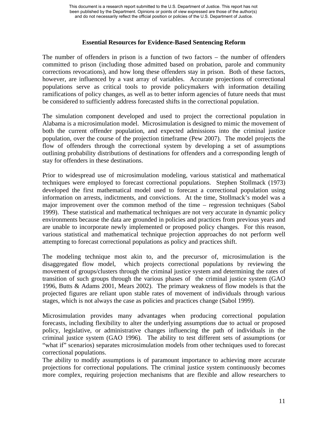## **Essential Resources for Evidence-Based Sentencing Reform**

The number of offenders in prison is a function of two factors – the number of offenders committed to prison (including those admitted based on probation, parole and community corrections revocations), and how long these offenders stay in prison. Both of these factors, however, are influenced by a vast array of variables. Accurate projections of correctional populations serve as critical tools to provide policymakers with information detailing ramifications of policy changes, as well as to better inform agencies of future needs that must be considered to sufficiently address forecasted shifts in the correctional population.

The simulation component developed and used to project the correctional population in Alabama is a microsimulation model. Microsimulation is designed to mimic the movement of both the current offender population, and expected admissions into the criminal justice population, over the course of the projection timeframe (Pew 2007). The model projects the flow of offenders through the correctional system by developing a set of assumptions outlining probability distributions of destinations for offenders and a corresponding length of stay for offenders in these destinations.

Prior to widespread use of microsimulation modeling, various statistical and mathematical techniques were employed to forecast correctional populations. Stephen Stollmack (1973) developed the first mathematical model used to forecast a correctional population using information on arrests, indictments, and convictions. At the time, Stollmack's model was a major improvement over the common method of the time – regression techniques (Sabol 1999). These statistical and mathematical techniques are not very accurate in dynamic policy environments because the data are grounded in policies and practices from previous years and are unable to incorporate newly implemented or proposed policy changes. For this reason, various statistical and mathematical technique projection approaches do not perform well attempting to forecast correctional populations as policy and practices shift.

The modeling technique most akin to, and the precursor of, microsimulation is the disaggregated flow model, which projects correctional populations by reviewing the movement of groups/clusters through the criminal justice system and determining the rates of transition of such groups through the various phases of the criminal justice system (GAO 1996, Butts & Adams 2001, Mears 2002). The primary weakness of flow models is that the projected figures are reliant upon stable rates of movement of individuals through various stages, which is not always the case as policies and practices change (Sabol 1999).

Microsimulation provides many advantages when producing correctional population forecasts, including flexibility to alter the underlying assumptions due to actual or proposed policy, legislative, or administrative changes influencing the path of individuals in the criminal justice system (GAO 1996). The ability to test different sets of assumptions (or "what if" scenarios) separates microsimulation models from other techniques used to forecast correctional populations.

The ability to modify assumptions is of paramount importance to achieving more accurate projections for correctional populations. The criminal justice system continuously becomes more complex, requiring projection mechanisms that are flexible and allow researchers to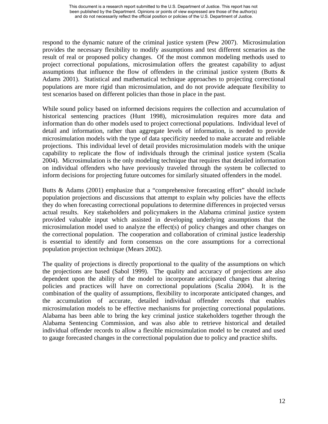respond to the dynamic nature of the criminal justice system (Pew 2007). Microsimulation provides the necessary flexibility to modify assumptions and test different scenarios as the result of real or proposed policy changes. Of the most common modeling methods used to project correctional populations, microsimulation offers the greatest capability to adjust assumptions that influence the flow of offenders in the criminal justice system (Butts & Adams 2001). Statistical and mathematical technique approaches to projecting correctional populations are more rigid than microsimulation, and do not provide adequate flexibility to test scenarios based on different policies than those in place in the past.

While sound policy based on informed decisions requires the collection and accumulation of historical sentencing practices (Hunt 1998), microsimulation requires more data and information than do other models used to project correctional populations. Individual level of detail and information, rather than aggregate levels of information, is needed to provide microsimulation models with the type of data specificity needed to make accurate and reliable projections. This individual level of detail provides microsimulation models with the unique capability to replicate the flow of individuals through the criminal justice system (Scalia 2004). Microsimulation is the only modeling technique that requires that detailed information on individual offenders who have previously traveled through the system be collected to inform decisions for projecting future outcomes for similarly situated offenders in the model.

Butts & Adams (2001) emphasize that a "comprehensive forecasting effort" should include population projections and discussions that attempt to explain why policies have the effects they do when forecasting correctional populations to determine differences in projected versus actual results. Key stakeholders and policymakers in the Alabama criminal justice system provided valuable input which assisted in developing underlying assumptions that the microsimulation model used to analyze the effect(s) of policy changes and other changes on the correctional population. The cooperation and collaboration of criminal justice leadership is essential to identify and form consensus on the core assumptions for a correctional population projection technique (Mears 2002).

The quality of projections is directly proportional to the quality of the assumptions on which the projections are based (Sabol 1999). The quality and accuracy of projections are also dependent upon the ability of the model to incorporate anticipated changes that altering policies and practices will have on correctional populations (Scalia 2004). It is the combination of the quality of assumptions, flexibility to incorporate anticipated changes, and the accumulation of accurate, detailed individual offender records that enables microsimulation models to be effective mechanisms for projecting correctional populations. Alabama has been able to bring the key criminal justice stakeholders together through the Alabama Sentencing Commission, and was also able to retrieve historical and detailed individual offender records to allow a flexible microsimulation model to be created and used to gauge forecasted changes in the correctional population due to policy and practice shifts.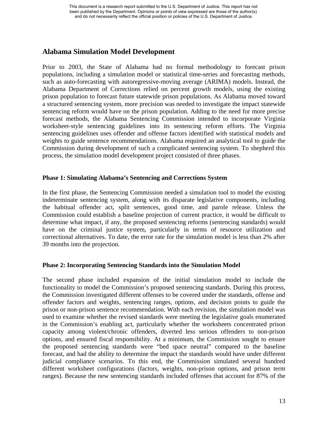## **Alabama Simulation Model Development**

Prior to 2003, the State of Alabama had no formal methodology to forecast prison populations, including a simulation model or statistical time-series and forecasting methods, such as auto-forecasting with autoregressive-moving average (ARIMA) models. Instead, the Alabama Department of Corrections relied on percent growth models, using the existing prison population to forecast future statewide prison populations. As Alabama moved toward a structured sentencing system, more precision was needed to investigate the impact statewide sentencing reform would have on the prison population. Adding to the need for more precise forecast methods, the Alabama Sentencing Commission intended to incorporate Virginia worksheet-style sentencing guidelines into its sentencing reform efforts. The Virginia sentencing guidelines uses offender and offense factors identified with statistical models and weights to guide sentence recommendations. Alabama required an analytical tool to guide the Commission during development of such a complicated sentencing system. To shepherd this process, the simulation model development project consisted of three phases.

## **Phase 1: Simulating Alabama's Sentencing and Corrections System**

In the first phase, the Sentencing Commission needed a simulation tool to model the existing indeterminate sentencing system, along with its disparate legislative components, including the habitual offender act, split sentences, good time, and parole release. Unless the Commission could establish a baseline projection of current practice, it would be difficult to determine what impact, if any, the proposed sentencing reforms (sentencing standards) would have on the criminal justice system, particularly in terms of resource utilization and correctional alternatives. To date, the error rate for the simulation model is less than 2% after 39 months into the projection.

## **Phase 2: Incorporating Sentencing Standards into the Simulation Model**

The second phase included expansion of the initial simulation model to include the functionality to model the Commission's proposed sentencing standards. During this process, the Commission investigated different offenses to be covered under the standards, offense and offender factors and weights, sentencing ranges, options, and decision points to guide the prison or non-prison sentence recommendation. With each revision, the simulation model was used to examine whether the revised standards were meeting the legislative goals enumerated in the Commission's enabling act, particularly whether the worksheets concentrated prison capacity among violent/chronic offenders, diverted less serious offenders to non-prison options, and ensured fiscal responsibility. At a minimum, the Commission sought to ensure the proposed sentencing standards were "bed space neutral" compared to the baseline forecast, and had the ability to determine the impact the standards would have under different judicial compliance scenarios. To this end, the Commission simulated several hundred different worksheet configurations (factors, weights, non-prison options, and prison term ranges). Because the new sentencing standards included offenses that account for 87% of the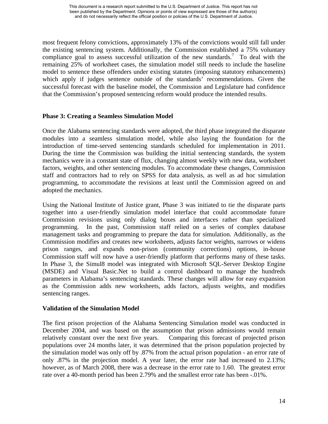most frequent felony convictions, approximately 13% of the convictions would still fall under the existing sentencing system. Additionally, the Commission established a 75% voluntary compliance goal to assess successful utilization of the new standards.<sup>7</sup> To deal with the remaining 25% of worksheet cases, the simulation model still needs to include the baseline model to sentence these offenders under existing statutes (imposing statutory enhancements) which apply if judges sentence outside of the standards' recommendations. Given the successful forecast with the baseline model, the Commission and Legislature had confidence that the Commission's proposed sentencing reform would produce the intended results.

## **Phase 3: Creating a Seamless Simulation Model**

Once the Alabama sentencing standards were adopted, the third phase integrated the disparate modules into a seamless simulation model, while also laying the foundation for the introduction of time-served sentencing standards scheduled for implementation in 2011. During the time the Commission was building the initial sentencing standards, the system mechanics were in a constant state of flux, changing almost weekly with new data, worksheet factors, weights, and other sentencing modules. To accommodate these changes, Commission staff and contractors had to rely on SPSS for data analysis, as well as ad hoc simulation programming, to accommodate the revisions at least until the Commission agreed on and adopted the mechanics.

Using the National Institute of Justice grant, Phase 3 was initiated to tie the disparate parts together into a user-friendly simulation model interface that could accommodate future Commission revisions using only dialog boxes and interfaces rather than specialized programming. In the past, Commission staff relied on a series of complex database management tasks and programming to prepare the data for simulation. Additionally, as the Commission modifies and creates new worksheets, adjusts factor weights, narrows or widens prison ranges, and expands non-prison (community corrections) options, in-house Commission staff will now have a user-friendly platform that performs many of these tasks. In Phase 3, the Simul8 model was integrated with Microsoft SQL-Server Desktop Engine (MSDE) and Visual Basic.Net to build a control dashboard to manage the hundreds parameters in Alabama's sentencing standards. These changes will allow for easy expansion as the Commission adds new worksheets, adds factors, adjusts weights, and modifies sentencing ranges.

#### **Validation of the Simulation Model**

The first prison projection of the Alabama Sentencing Simulation model was conducted in December 2004, and was based on the assumption that prison admissions would remain relatively constant over the next five years. Comparing this forecast of projected prison populations over 24 months later, it was determined that the prison population projected by the simulation model was only off by .87% from the actual prison population - an error rate of only .87% in the projection model. A year later, the error rate had increased to 2.13%; however, as of March 2008, there was a decrease in the error rate to 1.60. The greatest error rate over a 40-month period has been 2.79% and the smallest error rate has been -.01%.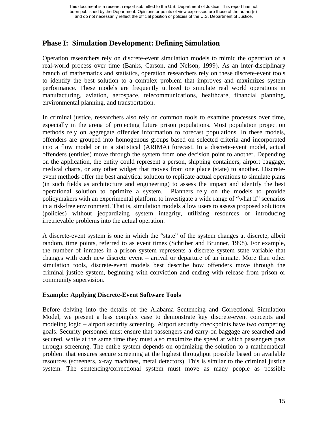## **Phase I: Simulation Development: Defining Simulation**

Operation researchers rely on discrete-event simulation models to mimic the operation of a real-world process over time (Banks, Carson, and Nelson, 1999). As an inter-disciplinary branch of mathematics and statistics, operation researchers rely on these discrete-event tools to identify the best solution to a complex problem that improves and maximizes system performance. These models are frequently utilized to simulate real world operations in manufacturing, aviation, aerospace, telecommunications, healthcare, financial planning, environmental planning, and transportation.

In criminal justice, researchers also rely on common tools to examine processes over time, especially in the arena of projecting future prison populations. Most population projection methods rely on aggregate offender information to forecast populations. In these models, offenders are grouped into homogenous groups based on selected criteria and incorporated into a flow model or in a statistical (ARIMA) forecast. In a discrete-event model, actual offenders (entities) move through the system from one decision point to another. Depending on the application, the entity could represent a person, shipping containers, airport baggage, medical charts, or any other widget that moves from one place (state) to another. Discreteevent methods offer the best analytical solution to replicate actual operations to simulate plans (in such fields as architecture and engineering) to assess the impact and identify the best operational solution to optimize a system. Planners rely on the models to provide policymakers with an experimental platform to investigate a wide range of "what if" scenarios in a risk-free environment. That is, simulation models allow users to assess proposed solutions (policies) without jeopardizing system integrity, utilizing resources or introducing irretrievable problems into the actual operation.

A discrete-event system is one in which the "state" of the system changes at discrete, albeit random, time points, referred to as event times (Schriber and Brunner, 1998). For example, the number of inmates in a prison system represents a discrete system state variable that changes with each new discrete event – arrival or departure of an inmate. More than other simulation tools, discrete-event models best describe how offenders move through the criminal justice system, beginning with conviction and ending with release from prison or community supervision.

## **Example: Applying Discrete-Event Software Tools**

Before delving into the details of the Alabama Sentencing and Correctional Simulation Model, we present a less complex case to demonstrate key discrete-event concepts and modeling logic – airport security screening. Airport security checkpoints have two competing goals. Security personnel must ensure that passengers and carry-on baggage are searched and secured, while at the same time they must also maximize the speed at which passengers pass through screening. The entire system depends on optimizing the solution to a mathematical problem that ensures secure screening at the highest throughput possible based on available resources (screeners, x-ray machines, metal detectors). This is similar to the criminal justice system. The sentencing/correctional system must move as many people as possible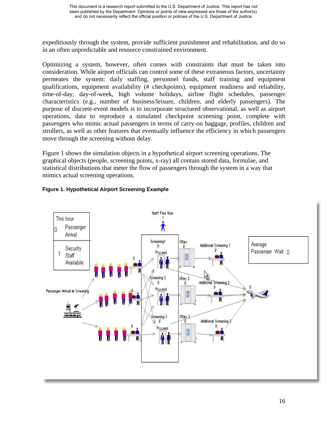expeditiously through the system, provide sufficient punishment and rehabilitation, and do so in an often unpredictable and resource constrained environment.

Optimizing a system, however, often comes with constraints that must be taken into consideration. While airport officials can control some of these extraneous factors, uncertainty permeates the system: daily staffing, personnel funds, staff training and equipment qualifications, equipment availability (# checkpoints), equipment readiness and reliability, time-of-day, day-of-week, high volume holidays, airline flight schedules, passenger characteristics (e.g., number of business/leisure, children, and elderly passengers). The purpose of discrete-event models is to incorporate structured observational, as well as airport operations, data to reproduce a simulated checkpoint screening point, complete with passengers who mimic actual passengers in terms of carry-on baggage, profiles, children and strollers, as well as other features that eventually influence the efficiency in which passengers move through the screening without delay.

Figure 1 shows the simulation objects in a hypothetical airport screening operations. The graphical objects (people, screening points, x-ray) all contain stored data, formulae, and statistical distributions that meter the flow of passengers through the system in a way that mimics actual screening operations.



## **Figure 1. Hypothetical Airport Screening Example**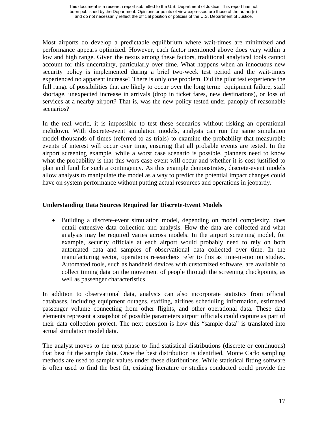Most airports do develop a predictable equilibrium where wait-times are minimized and performance appears optimized. However, each factor mentioned above does vary within a low and high range. Given the nexus among these factors, traditional analytical tools cannot account for this uncertainty, particularly over time. What happens when an innocuous new security policy is implemented during a brief two-week test period and the wait-times experienced no apparent increase? There is only one problem. Did the pilot test experience the full range of possibilities that are likely to occur over the long term: equipment failure, staff shortage, unexpected increase in arrivals (drop in ticket fares, new destinations), or loss of services at a nearby airport? That is, was the new policy tested under panoply of reasonable scenarios?

In the real world, it is impossible to test these scenarios without risking an operational meltdown. With discrete-event simulation models, analysts can run the same simulation model thousands of times (referred to as trials) to examine the probability that measurable events of interest will occur over time, ensuring that all probable events are tested. In the airport screening example, while a worst case scenario is possible, planners need to know what the probability is that this wors case event will occur and whether it is cost justified to plan and fund for such a contingency. As this example demonstrates, discrete-event models allow analysts to manipulate the model as a way to predict the potential impact changes could have on system performance without putting actual resources and operations in jeopardy.

## **Understanding Data Sources Required for Discrete-Event Models**

• Building a discrete-event simulation model, depending on model complexity, does entail extensive data collection and analysis. How the data are collected and what analysis may be required varies across models. In the airport screening model, for example, security officials at each airport would probably need to rely on both automated data and samples of observational data collected over time. In the manufacturing sector, operations researchers refer to this as time-in-motion studies. Automated tools, such as handheld devices with customized software, are available to collect timing data on the movement of people through the screening checkpoints, as well as passenger characteristics.

In addition to observational data, analysts can also incorporate statistics from official databases, including equipment outages, staffing, airlines scheduling information, estimated passenger volume connecting from other flights, and other operational data. These data elements represent a snapshot of possible parameters airport officials could capture as part of their data collection project. The next question is how this "sample data" is translated into actual simulation model data.

The analyst moves to the next phase to find statistical distributions (discrete or continuous) that best fit the sample data. Once the best distribution is identified, Monte Carlo sampling methods are used to sample values under these distributions. While statistical fitting software is often used to find the best fit, existing literature or studies conducted could provide the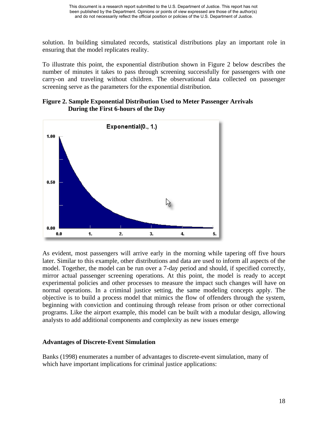solution. In building simulated records, statistical distributions play an important role in ensuring that the model replicates reality.

To illustrate this point, the exponential distribution shown in Figure 2 below describes the number of minutes it takes to pass through screening successfully for passengers with one carry-on and traveling without children. The observational data collected on passenger screening serve as the parameters for the exponential distribution.

#### **Figure 2. Sample Exponential Distribution Used to Meter Passenger Arrivals During the First 6-hours of the Day**



As evident, most passengers will arrive early in the morning while tapering off five hours later. Similar to this example, other distributions and data are used to inform all aspects of the model. Together, the model can be run over a 7-day period and should, if specified correctly, mirror actual passenger screening operations. At this point, the model is ready to accept experimental policies and other processes to measure the impact such changes will have on normal operations. In a criminal justice setting, the same modeling concepts apply. The objective is to build a process model that mimics the flow of offenders through the system, beginning with conviction and continuing through release from prison or other correctional programs. Like the airport example, this model can be built with a modular design, allowing analysts to add additional components and complexity as new issues emerge

#### **Advantages of Discrete-Event Simulation**

Banks (1998) enumerates a number of advantages to discrete-event simulation, many of which have important implications for criminal justice applications: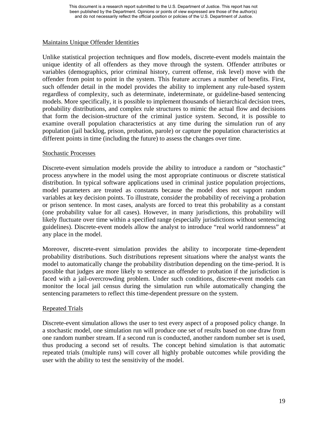## Maintains Unique Offender Identities

Unlike statistical projection techniques and flow models, discrete-event models maintain the unique identity of all offenders as they move through the system. Offender attributes or variables (demographics, prior criminal history, current offense, risk level) move with the offender from point to point in the system. This feature accrues a number of benefits. First, such offender detail in the model provides the ability to implement any rule-based system regardless of complexity, such as determinate, indeterminate, or guideline-based sentencing models. More specifically, it is possible to implement thousands of hierarchical decision trees, probability distributions, and complex rule structures to mimic the actual flow and decisions that form the decision-structure of the criminal justice system. Second, it is possible to examine overall population characteristics at any time during the simulation run of any population (jail backlog, prison, probation, parole) or capture the population characteristics at different points in time (including the future) to assess the changes over time.

#### Stochastic Processes

Discrete-event simulation models provide the ability to introduce a random or "stochastic" process anywhere in the model using the most appropriate continuous or discrete statistical distribution. In typical software applications used in criminal justice population projections, model parameters are treated as constants because the model does not support random variables at key decision points. To illustrate, consider the probability of receiving a probation or prison sentence. In most cases, analysts are forced to treat this probability as a constant (one probability value for all cases). However, in many jurisdictions, this probability will likely fluctuate over time within a specified range (especially jurisdictions without sentencing guidelines). Discrete-event models allow the analyst to introduce "real world randomness" at any place in the model.

Moreover, discrete-event simulation provides the ability to incorporate time-dependent probability distributions. Such distributions represent situations where the analyst wants the model to automatically change the probability distribution depending on the time-period. It is possible that judges are more likely to sentence an offender to probation if the jurisdiction is faced with a jail-overcrowding problem. Under such conditions, discrete-event models can monitor the local jail census during the simulation run while automatically changing the sentencing parameters to reflect this time-dependent pressure on the system.

#### Repeated Trials

Discrete-event simulation allows the user to test every aspect of a proposed policy change. In a stochastic model, one simulation run will produce one set of results based on one draw from one random number stream. If a second run is conducted, another random number set is used, thus producing a second set of results. The concept behind simulation is that automatic repeated trials (multiple runs) will cover all highly probable outcomes while providing the user with the ability to test the sensitivity of the model.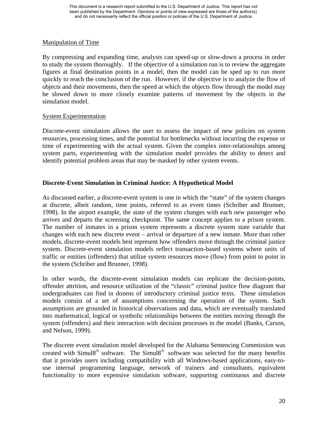## Manipulation of Time

By compressing and expanding time, analysts can speed-up or slow-down a process in order to study the system thoroughly. If the objective of a simulation run is to review the aggregate figures at final destination points in a model, then the model can be sped up to run more quickly to reach the conclusion of the run. However, if the objective is to analyze the flow of objects and their movements, then the speed at which the objects flow through the model may be slowed down to more closely examine patterns of movement by the objects in the simulation model.

## System Experimentation

Discrete-event simulation allows the user to assess the impact of new policies on system resources, processing times, and the potential for bottlenecks without incurring the expense or time of experimenting with the actual system. Given the complex inter-relationships among system parts, experimenting with the simulation model provides the ability to detect and identify potential problem areas that may be masked by other system events.

## **Discrete-Event Simulation in Criminal Justice: A Hypothetical Model**

As discussed earlier, a discrete-event system is one in which the "state" of the system changes at discrete, albeit random, time points, referred to as event times (Schriber and Brunner, 1998). In the airport example, the state of the system changes with each new passenger who arrives and departs the screening checkpoint. The same concept applies to a prison system. The number of inmates in a prison system represents a discrete system state variable that changes with each new discrete event – arrival or departure of a new inmate. More than other models, discrete-event models best represent how offenders move through the criminal justice system. Discrete-event simulation models reflect transaction-based systems where units of traffic or entities (offenders) that utilize system resources move (flow) from point to point in the system (Schriber and Brunner, 1998).

In other words, the discrete-event simulation models can replicate the decision-points, offender attrition, and resource utilization of the "classic" criminal justice flow diagram that undergraduates can find in dozens of introductory criminal justice texts. These simulation models consist of a set of assumptions concerning the operation of the system. Such assumptions are grounded in historical observations and data, which are eventually translated into mathematical, logical or symbolic relationships between the entities moving through the system (offenders) and their interaction with decision processes in the model (Banks, Carson, and Nelson, 1999).

The discrete event simulation model developed for the Alabama Sentencing Commission was created with Simul8® software. The Simul8® software was selected for the many benefits that it provides users including compatibility with all Windows-based applications, easy-touse internal programming language, network of trainers and consultants, equivalent functionality to more expensive simulation software, supporting continuous and discrete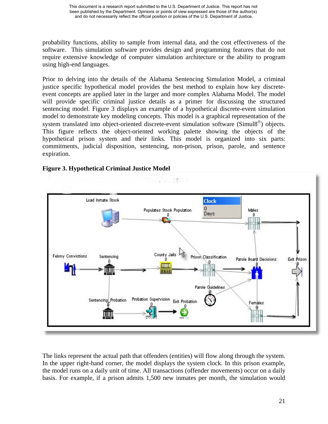probability functions, ability to sample from internal data, and the cost effectiveness of the software. This simulation software provides design and programming features that do not require extensive knowledge of computer simulation architecture or the ability to program using high-end languages.

Prior to delving into the details of the Alabama Sentencing Simulation Model, a criminal justice specific hypothetical model provides the best method to explain how key discreteevent concepts are applied later in the larger and more complex Alabama Model. The model will provide specific criminal justice details as a primer for discussing the structured sentencing model. Figure 3 displays an example of a hypothetical discrete-event simulation model to demonstrate key modeling concepts. This model is a graphical representation of the system translated into object-oriented discrete-event simulation software (Simul8<sup>®</sup>) objects. This figure reflects the object-oriented working palette showing the objects of the hypothetical prison system and their links. This model is organized into six parts: commitments, judicial disposition, sentencing, non-prison, prison, parole, and sentence expiration.



## **Figure 3. Hypothetical Criminal Justice Model**

The links represent the actual path that offenders (entities) will flow along through the system. In the upper right-hand corner, the model displays the system clock. In this prison example, the model runs on a daily unit of time. All transactions (offender movements) occur on a daily basis. For example, if a prison admits 1,500 new inmates per month, the simulation would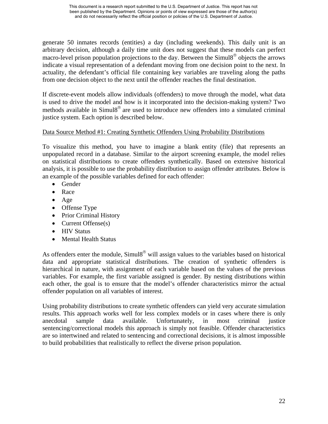generate 50 inmates records (entities) a day (including weekends). This daily unit is an arbitrary decision, although a daily time unit does not suggest that these models can perfect macro-level prison population projections to the day. Between the Simul8® objects the arrows indicate a visual representation of a defendant moving from one decision point to the next. In actuality, the defendant's official file containing key variables are traveling along the paths from one decision object to the next until the offender reaches the final destination.

If discrete-event models allow individuals (offenders) to move through the model, what data is used to drive the model and how is it incorporated into the decision-making system? Two methods available in Simul8® are used to introduce new offenders into a simulated criminal justice system. Each option is described below.

## Data Source Method #1: Creating Synthetic Offenders Using Probability Distributions

To visualize this method, you have to imagine a blank entity (file) that represents an unpopulated record in a database. Similar to the airport screening example, the model relies on statistical distributions to create offenders synthetically. Based on extensive historical analysis, it is possible to use the probability distribution to assign offender attributes. Below is an example of the possible variables defined for each offender:

- Gender
- Race
- Age
- Offense Type
- Prior Criminal History
- Current Offense(s)
- HIV Status
- Mental Health Status

As offenders enter the module, Simul8<sup>®</sup> will assign values to the variables based on historical data and appropriate statistical distributions. The creation of synthetic offenders is hierarchical in nature, with assignment of each variable based on the values of the previous variables. For example, the first variable assigned is gender. By nesting distributions within each other, the goal is to ensure that the model's offender characteristics mirror the actual offender population on all variables of interest.

Using probability distributions to create synthetic offenders can yield very accurate simulation results. This approach works well for less complex models or in cases where there is only anecdotal sample data available. Unfortunately, in most criminal justice sentencing/correctional models this approach is simply not feasible. Offender characteristics are so intertwined and related to sentencing and correctional decisions, it is almost impossible to build probabilities that realistically to reflect the diverse prison population.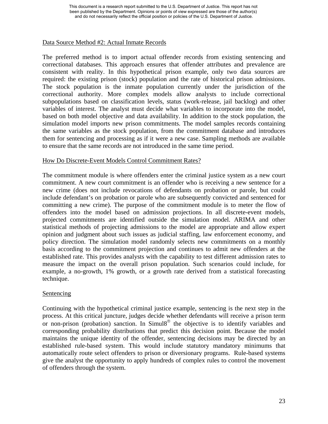## Data Source Method #2: Actual Inmate Records

The preferred method is to import actual offender records from existing sentencing and correctional databases. This approach ensures that offender attributes and prevalence are consistent with reality. In this hypothetical prison example, only two data sources are required: the existing prison (stock) population and the rate of historical prison admissions. The stock population is the inmate population currently under the jurisdiction of the correctional authority. More complex models allow analysts to include correctional subpopulations based on classification levels, status (work-release, jail backlog) and other variables of interest. The analyst must decide what variables to incorporate into the model, based on both model objective and data availability. In addition to the stock population, the simulation model imports new prison commitments. The model samples records containing the same variables as the stock population, from the commitment database and introduces them for sentencing and processing as if it were a new case. Sampling methods are available to ensure that the same records are not introduced in the same time period.

## How Do Discrete-Event Models Control Commitment Rates?

The commitment module is where offenders enter the criminal justice system as a new court commitment. A new court commitment is an offender who is receiving a new sentence for a new crime (does not include revocations of defendants on probation or parole, but could include defendant's on probation or parole who are subsequently convicted and sentenced for committing a new crime). The purpose of the commitment module is to meter the flow of offenders into the model based on admission projections. In all discrete-event models, projected commitments are identified outside the simulation model. ARIMA and other statistical methods of projecting admissions to the model are appropriate and allow expert opinion and judgment about such issues as judicial staffing, law enforcement economy, and policy direction. The simulation model randomly selects new commitments on a monthly basis according to the commitment projection and continues to admit new offenders at the established rate. This provides analysts with the capability to test different admission rates to measure the impact on the overall prison population. Such scenarios could include, for example, a no-growth, 1% growth, or a growth rate derived from a statistical forecasting technique.

#### Sentencing

Continuing with the hypothetical criminal justice example, sentencing is the next step in the process. At this critical juncture, judges decide whether defendants will receive a prison term or non-prison (probation) sanction. In Simul $8^\circ$  the objective is to identify variables and corresponding probability distributions that predict this decision point. Because the model maintains the unique identity of the offender, sentencing decisions may be directed by an established rule-based system. This would include statutory mandatory minimums that automatically route select offenders to prison or diversionary programs. Rule-based systems give the analyst the opportunity to apply hundreds of complex rules to control the movement of offenders through the system.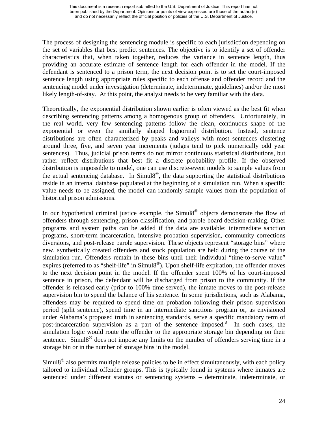The process of designing the sentencing module is specific to each jurisdiction depending on the set of variables that best predict sentences. The objective is to identify a set of offender characteristics that, when taken together, reduces the variance in sentence length, thus providing an accurate estimate of sentence length for each offender in the model. If the defendant is sentenced to a prison term, the next decision point is to set the court-imposed sentence length using appropriate rules specific to each offense and offender record and the sentencing model under investigation (determinate, indeterminate, guidelines) and/or the most likely length-of-stay. At this point, the analyst needs to be very familiar with the data.

Theoretically, the exponential distribution shown earlier is often viewed as the best fit when describing sentencing patterns among a homogenous group of offenders. Unfortunately, in the real world, very few sentencing patterns follow the clean, continuous shape of the exponential or even the similarly shaped lognormal distribution. Instead, sentence distributions are often characterized by peaks and valleys with most sentences clustering around three, five, and seven year increments (judges tend to pick numerically odd year sentences). Thus, judicial prison terms do not mirror continuous statistical distributions, but rather reflect distributions that best fit a discrete probability profile. If the observed distribution is impossible to model, one can use discrete-event models to sample values from the actual sentencing database. In Simul8<sup>®</sup>, the data supporting the statistical distributions reside in an internal database populated at the beginning of a simulation run. When a specific value needs to be assigned, the model can randomly sample values from the population of historical prison admissions.

In our hypothetical criminal justice example, the Simul8<sup>®</sup> objects demonstrate the flow of offenders through sentencing, prison classification, and parole board decision-making. Other programs and system paths can be added if the data are available: intermediate sanction programs, short-term incarceration, intensive probation supervision, community corrections diversions, and post-release parole supervision. These objects represent "storage bins" where new, synthetically created offenders and stock population are held during the course of the simulation run. Offenders remain in these bins until their individual "time-to-serve value" expires (referred to as "shelf-life" in  $Simull8^{\circledcirc}$ ). Upon shelf-life expiration, the offender moves to the next decision point in the model. If the offender spent 100% of his court-imposed sentence in prison, the defendant will be discharged from prison to the community. If the offender is released early (prior to 100% time served), the inmate moves to the post-release supervision bin to spend the balance of his sentence. In some jurisdictions, such as Alabama, offenders may be required to spend time on probation following their prison supervision period (split sentence), spend time in an intermediate sanctions program or, as envisioned under Alabama's proposed truth in sentencing standards, serve a specific mandatory term of post-incarceration supervision as a part of the sentence imposed.<sup>8</sup> In such cases, the simulation logic would route the offender to the appropriate storage bin depending on their sentence. Simul8<sup>®</sup> does not impose any limits on the number of offenders serving time in a storage bin or in the number of storage bins in the model.

 $Simul8<sup>®</sup>$  also permits multiple release policies to be in effect simultaneously, with each policy tailored to individual offender groups. This is typically found in systems where inmates are sentenced under different statutes or sentencing systems – determinate, indeterminate, or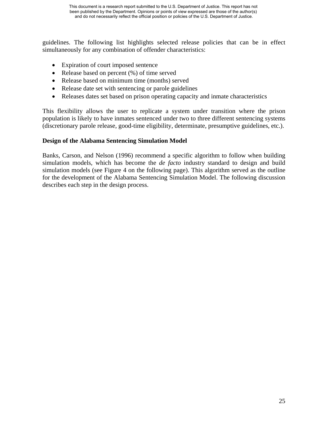guidelines. The following list highlights selected release policies that can be in effect simultaneously for any combination of offender characteristics:

- Expiration of court imposed sentence
- Release based on percent  $(\%)$  of time served
- Release based on minimum time (months) served
- Release date set with sentencing or parole guidelines
- Releases dates set based on prison operating capacity and inmate characteristics

This flexibility allows the user to replicate a system under transition where the prison population is likely to have inmates sentenced under two to three different sentencing systems (discretionary parole release, good-time eligibility, determinate, presumptive guidelines, etc.).

## **Design of the Alabama Sentencing Simulation Model**

Banks, Carson, and Nelson (1996) recommend a specific algorithm to follow when building simulation models, which has become the *de facto* industry standard to design and build simulation models (see Figure 4 on the following page). This algorithm served as the outline for the development of the Alabama Sentencing Simulation Model. The following discussion describes each step in the design process.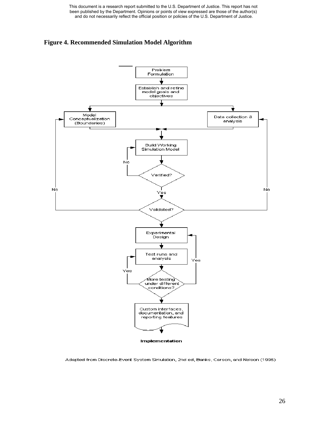This document is a research report submitted to the U.S. Department of Justice. This report has not been published by the Department. Opinions or points of view expressed are those of the author(s) and do not necessarily reflect the official position or policies of the U.S. Department of Justice.





Adapted from Discrete-Event System Simulation, 2nd ed, Banks, Carson, and Nelson (1996)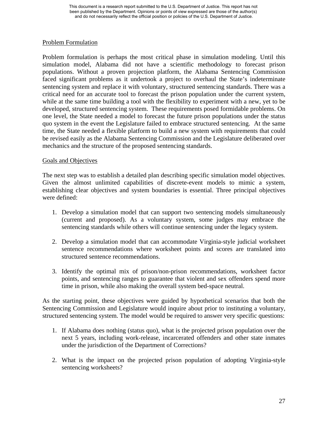## Problem Formulation

Problem formulation is perhaps the most critical phase in simulation modeling. Until this simulation model, Alabama did not have a scientific methodology to forecast prison populations. Without a proven projection platform, the Alabama Sentencing Commission faced significant problems as it undertook a project to overhaul the State's indeterminate sentencing system and replace it with voluntary, structured sentencing standards. There was a critical need for an accurate tool to forecast the prison population under the current system, while at the same time building a tool with the flexibility to experiment with a new, yet to be developed, structured sentencing system. These requirements posed formidable problems. On one level, the State needed a model to forecast the future prison populations under the status quo system in the event the Legislature failed to embrace structured sentencing. At the same time, the State needed a flexible platform to build a new system with requirements that could be revised easily as the Alabama Sentencing Commission and the Legislature deliberated over mechanics and the structure of the proposed sentencing standards.

## Goals and Objectives

The next step was to establish a detailed plan describing specific simulation model objectives. Given the almost unlimited capabilities of discrete-event models to mimic a system, establishing clear objectives and system boundaries is essential. Three principal objectives were defined:

- 1. Develop a simulation model that can support two sentencing models simultaneously (current and proposed). As a voluntary system, some judges may embrace the sentencing standards while others will continue sentencing under the legacy system.
- 2. Develop a simulation model that can accommodate Virginia-style judicial worksheet sentence recommendations where worksheet points and scores are translated into structured sentence recommendations.
- 3. Identify the optimal mix of prison/non-prison recommendations, worksheet factor points, and sentencing ranges to guarantee that violent and sex offenders spend more time in prison, while also making the overall system bed-space neutral.

As the starting point, these objectives were guided by hypothetical scenarios that both the Sentencing Commission and Legislature would inquire about prior to instituting a voluntary, structured sentencing system. The model would be required to answer very specific questions:

- 1. If Alabama does nothing (status quo), what is the projected prison population over the next 5 years, including work-release, incarcerated offenders and other state inmates under the jurisdiction of the Department of Corrections?
- 2. What is the impact on the projected prison population of adopting Virginia-style sentencing worksheets?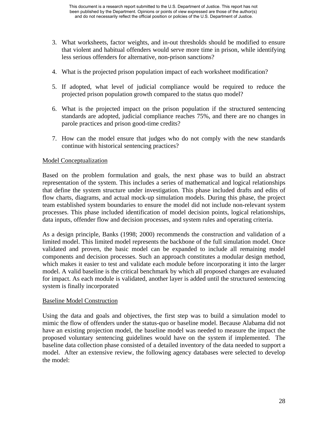- 3. What worksheets, factor weights, and in-out thresholds should be modified to ensure that violent and habitual offenders would serve more time in prison, while identifying less serious offenders for alternative, non-prison sanctions?
- 4. What is the projected prison population impact of each worksheet modification?
- 5. If adopted, what level of judicial compliance would be required to reduce the projected prison population growth compared to the status quo model?
- 6. What is the projected impact on the prison population if the structured sentencing standards are adopted, judicial compliance reaches 75%, and there are no changes in parole practices and prison good-time credits?
- 7. How can the model ensure that judges who do not comply with the new standards continue with historical sentencing practices?

## Model Conceptualization

Based on the problem formulation and goals, the next phase was to build an abstract representation of the system. This includes a series of mathematical and logical relationships that define the system structure under investigation. This phase included drafts and edits of flow charts, diagrams, and actual mock-up simulation models. During this phase, the project team established system boundaries to ensure the model did not include non-relevant system processes. This phase included identification of model decision points, logical relationships, data inputs, offender flow and decision processes, and system rules and operating criteria.

As a design principle, Banks (1998; 2000) recommends the construction and validation of a limited model. This limited model represents the backbone of the full simulation model. Once validated and proven, the basic model can be expanded to include all remaining model components and decision processes. Such an approach constitutes a modular design method, which makes it easier to test and validate each module before incorporating it into the larger model. A valid baseline is the critical benchmark by which all proposed changes are evaluated for impact. As each module is validated, another layer is added until the structured sentencing system is finally incorporated

## Baseline Model Construction

Using the data and goals and objectives, the first step was to build a simulation model to mimic the flow of offenders under the status-quo or baseline model. Because Alabama did not have an existing projection model, the baseline model was needed to measure the impact the proposed voluntary sentencing guidelines would have on the system if implemented. The baseline data collection phase consisted of a detailed inventory of the data needed to support a model. After an extensive review, the following agency databases were selected to develop the model: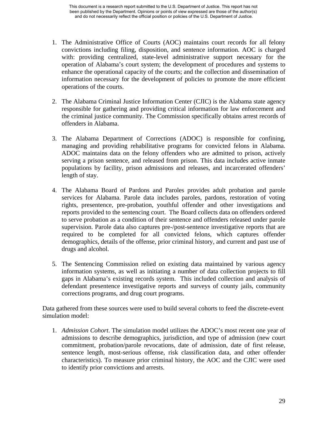- 1. The Administrative Office of Courts (AOC) maintains court records for all felony convictions including filing, disposition, and sentence information. AOC is charged with: providing centralized, state-level administrative support necessary for the operation of Alabama's court system; the development of procedures and systems to enhance the operational capacity of the courts; and the collection and dissemination of information necessary for the development of policies to promote the more efficient operations of the courts.
- 2. The Alabama Criminal Justice Information Center (CJIC) is the Alabama state agency responsible for gathering and providing critical information for law enforcement and the criminal justice community. The Commission specifically obtains arrest records of offenders in Alabama.
- 3. The Alabama Department of Corrections (ADOC) is responsible for confining, managing and providing rehabilitative programs for convicted felons in Alabama. ADOC maintains data on the felony offenders who are admitted to prison, actively serving a prison sentence, and released from prison. This data includes active inmate populations by facility, prison admissions and releases, and incarcerated offenders' length of stay.
- 4. The Alabama Board of Pardons and Paroles provides adult probation and parole services for Alabama. Parole data includes paroles, pardons, restoration of voting rights, presentence, pre-probation, youthful offender and other investigations and reports provided to the sentencing court. The Board collects data on offenders ordered to serve probation as a condition of their sentence and offenders released under parole supervision. Parole data also captures pre-/post-sentence investigative reports that are required to be completed for all convicted felons, which captures offender demographics, details of the offense, prior criminal history, and current and past use of drugs and alcohol.
- 5. The Sentencing Commission relied on existing data maintained by various agency information systems, as well as initiating a number of data collection projects to fill gaps in Alabama's existing records system. This included collection and analysis of defendant presentence investigative reports and surveys of county jails, community corrections programs, and drug court programs.

Data gathered from these sources were used to build several cohorts to feed the discrete-event simulation model:

1. *Admission Cohort*. The simulation model utilizes the ADOC's most recent one year of admissions to describe demographics, jurisdiction, and type of admission (new court commitment, probation/parole revocations, date of admission, date of first release, sentence length, most-serious offense, risk classification data, and other offender characteristics). To measure prior criminal history, the AOC and the CJIC were used to identify prior convictions and arrests.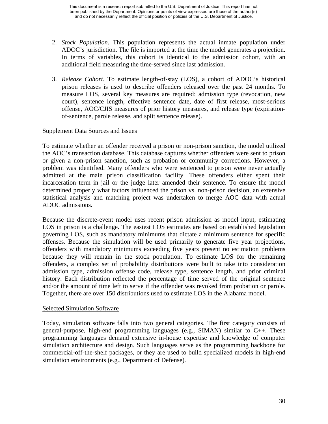- 2. *Stock Population.* This population represents the actual inmate population under ADOC's jurisdiction. The file is imported at the time the model generates a projection. In terms of variables, this cohort is identical to the admission cohort, with an additional field measuring the time-served since last admission.
- 3. *Release Cohort*. To estimate length-of-stay (LOS), a cohort of ADOC's historical prison releases is used to describe offenders released over the past 24 months. To measure LOS, several key measures are required: admission type (revocation, new court), sentence length, effective sentence date, date of first release, most-serious offense, AOC/CJIS measures of prior history measures, and release type (expirationof-sentence, parole release, and split sentence release).

## Supplement Data Sources and Issues

To estimate whether an offender received a prison or non-prison sanction, the model utilized the AOC's transaction database. This database captures whether offenders were sent to prison or given a non-prison sanction, such as probation or community corrections. However, a problem was identified. Many offenders who were sentenced to prison were never actually admitted at the main prison classification facility. These offenders either spent their incarceration term in jail or the judge later amended their sentence. To ensure the model determined properly what factors influenced the prison vs. non-prison decision, an extensive statistical analysis and matching project was undertaken to merge AOC data with actual ADOC admissions.

Because the discrete-event model uses recent prison admission as model input, estimating LOS in prison is a challenge. The easiest LOS estimates are based on established legislation governing LOS, such as mandatory minimums that dictate a minimum sentence for specific offenses. Because the simulation will be used primarily to generate five year projections, offenders with mandatory minimums exceeding five years present no estimation problems because they will remain in the stock population. To estimate LOS for the remaining offenders, a complex set of probability distributions were built to take into consideration admission type, admission offense code, release type, sentence length, and prior criminal history. Each distribution reflected the percentage of time served of the original sentence and/or the amount of time left to serve if the offender was revoked from probation or parole. Together, there are over 150 distributions used to estimate LOS in the Alabama model.

#### Selected Simulation Software

Today, simulation software falls into two general categories. The first category consists of general-purpose, high-end programming languages (e.g., SIMAN) similar to C++. These programming languages demand extensive in-house expertise and knowledge of computer simulation architecture and design. Such languages serve as the programming backbone for commercial-off-the-shelf packages, or they are used to build specialized models in high-end simulation environments (e.g., Department of Defense).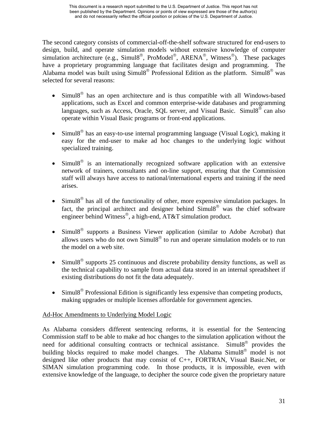The second category consists of commercial-off-the-shelf software structured for end-users to design, build, and operate simulation models without extensive knowledge of computer simulation architecture (e.g., Simul8<sup>®</sup>, ProModel<sup>®</sup>, ARENA<sup>®</sup>, Witness<sup>®</sup>). These packages have a proprietary programming language that facilitates design and programming. The Alabama model was built using  $\sim$  Simul8<sup>®</sup> Professional Edition as the platform. Simul8<sup>®</sup> was selected for several reasons:

- Simul $8^{\circ}$  has an open architecture and is thus compatible with all Windows-based applications, such as Excel and common enterprise-wide databases and programming languages, such as Access, Oracle, SQL server, and Visual Basic. Simul8<sup>®</sup> can also operate within Visual Basic programs or front-end applications.
- $Simul8<sup>®</sup>$  has an easy-to-use internal programming language (Visual Logic), making it easy for the end-user to make ad hoc changes to the underlying logic without specialized training.
- Simul8<sup>®</sup> is an internationally recognized software application with an extensive network of trainers, consultants and on-line support, ensuring that the Commission staff will always have access to national/international experts and training if the need arises.
- Simul8<sup>®</sup> has all of the functionality of other, more expensive simulation packages. In fact, the principal architect and designer behind Simul8® was the chief software engineer behind Witness®, a high-end, AT&T simulation product.
- Simul8® supports a Business Viewer application (similar to Adobe Acrobat) that allows users who do not own  $Simul8<sup>®</sup>$  to run and operate simulation models or to run the model on a web site.
- Simul $8^\circ$  supports 25 continuous and discrete probability density functions, as well as the technical capability to sample from actual data stored in an internal spreadsheet if existing distributions do not fit the data adequately.
- Simul8<sup>®</sup> Professional Edition is significantly less expensive than competing products, making upgrades or multiple licenses affordable for government agencies.

## Ad-Hoc Amendments to Underlying Model Logic

As Alabama considers different sentencing reforms, it is essential for the Sentencing Commission staff to be able to make ad hoc changes to the simulation application without the need for additional consulting contracts or technical assistance. Simul8® provides the building blocks required to make model changes. The Alabama Simul8<sup>®</sup> model is not designed like other products that may consist of C++, FORTRAN, Visual Basic.Net, or SIMAN simulation programming code. In those products, it is impossible, even with extensive knowledge of the language, to decipher the source code given the proprietary nature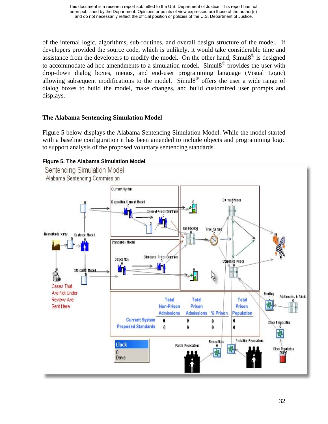of the internal logic, algorithms, sub-routines, and overall design structure of the model. If developers provided the source code, which is unlikely, it would take considerable time and assistance from the developers to modify the model. On the other hand,  $Simul8^\circ$  is designed to accommodate ad hoc amendments to a simulation model. Simul8® provides the user with drop-down dialog boxes, menus, and end-user programming language (Visual Logic) allowing subsequent modifications to the model. Simulg<sup>®</sup> offers the user a wide range of dialog boxes to build the model, make changes, and build customized user prompts and displays.

## **The Alabama Sentencing Simulation Model**

Figure 5 below displays the Alabama Sentencing Simulation Model. While the model started with a baseline configuration it has been amended to include objects and programming logic to support analysis of the proposed voluntary sentencing standards.

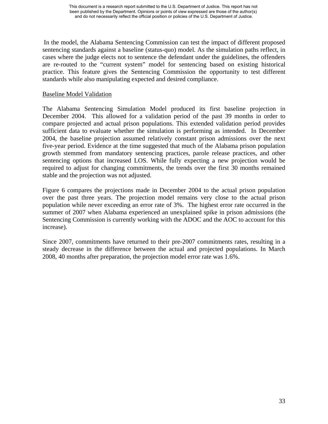In the model, the Alabama Sentencing Commission can test the impact of different proposed sentencing standards against a baseline (status-quo) model. As the simulation paths reflect, in cases where the judge elects not to sentence the defendant under the guidelines, the offenders are re-routed to the "current system" model for sentencing based on existing historical practice. This feature gives the Sentencing Commission the opportunity to test different standards while also manipulating expected and desired compliance.

#### Baseline Model Validation

The Alabama Sentencing Simulation Model produced its first baseline projection in December 2004. This allowed for a validation period of the past 39 months in order to compare projected and actual prison populations. This extended validation period provides sufficient data to evaluate whether the simulation is performing as intended. In December 2004, the baseline projection assumed relatively constant prison admissions over the next five-year period. Evidence at the time suggested that much of the Alabama prison population growth stemmed from mandatory sentencing practices, parole release practices, and other sentencing options that increased LOS. While fully expecting a new projection would be required to adjust for changing commitments, the trends over the first 30 months remained stable and the projection was not adjusted.

Figure 6 compares the projections made in December 2004 to the actual prison population over the past three years. The projection model remains very close to the actual prison population while never exceeding an error rate of 3%. The highest error rate occurred in the summer of 2007 when Alabama experienced an unexplained spike in prison admissions (the Sentencing Commission is currently working with the ADOC and the AOC to account for this increase).

Since 2007, commitments have returned to their pre-2007 commitments rates, resulting in a steady decrease in the difference between the actual and projected populations. In March 2008, 40 months after preparation, the projection model error rate was 1.6%.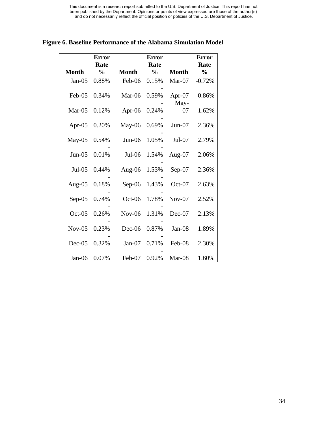|              | <b>Error</b>  |              | <b>Error</b>  |                   | <b>Error</b>  |
|--------------|---------------|--------------|---------------|-------------------|---------------|
|              | Rate          |              | Rate          |                   | Rate          |
| <b>Month</b> | $\frac{0}{0}$ | <b>Month</b> | $\frac{0}{0}$ | <b>Month</b>      | $\frac{0}{0}$ |
| $Jan-05$     | 0.88%         | Feb-06       | 0.15%         | $Mar-07$          | $-0.72%$      |
| Feb-05       | 0.34%         | Mar-06       | 0.59%         | Apr- $07$<br>May- | 0.86%         |
| $Mar-05$     | 0.12%         | Apr-06       | 0.24%         | 07                | 1.62%         |
| Apr-05       | 0.20%         | May-06       | 0.69%         | $Jun-07$          | 2.36%         |
| $May-05$     | 0.54%         | $Jun-06$     | 1.05%         | Jul-07            | 2.79%         |
| $Jun-05$     | 0.01%         | $Jul-06$     | 1.54%         | Aug- $07$         | 2.06%         |
| $Jul-05$     | 0.44%         | Aug- $06$    | 1.53%         | Sep-07            | 2.36%         |
| Aug-05       | 0.18%         | $Sep-06$     | 1.43%         | $Oct-07$          | 2.63%         |
| $Sep-05$     | 0.74%         | $Oct-06$     | 1.78%         | $Nov-07$          | 2.52%         |
| $Oct-05$     | 0.26%         | $Nov-06$     | 1.31%         | $Dec-07$          | 2.13%         |
| $Nov-05$     | 0.23%         | $Dec-06$     | 0.87%         | Jan-08            | 1.89%         |
| $Dec-05$     | 0.32%         | $Jan-07$     | 0.71%         | Feb-08            | 2.30%         |
| $Jan-06$     | 0.07%         | Feb-07       | 0.92%         | Mar-08            | 1.60%         |

**Figure 6. Baseline Performance of the Alabama Simulation Model**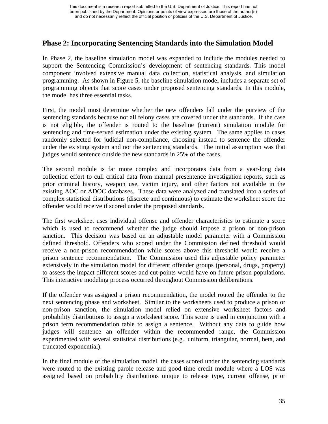## **Phase 2: Incorporating Sentencing Standards into the Simulation Model**

In Phase 2, the baseline simulation model was expanded to include the modules needed to support the Sentencing Commission's development of sentencing standards. This model component involved extensive manual data collection, statistical analysis, and simulation programming. As shown in Figure 5, the baseline simulation model includes a separate set of programming objects that score cases under proposed sentencing standards. In this module, the model has three essential tasks.

First, the model must determine whether the new offenders fall under the purview of the sentencing standards because not all felony cases are covered under the standards. If the case is not eligible, the offender is routed to the baseline (current) simulation module for sentencing and time-served estimation under the existing system. The same applies to cases randomly selected for judicial non-compliance, choosing instead to sentence the offender under the existing system and not the sentencing standards. The initial assumption was that judges would sentence outside the new standards in 25% of the cases.

The second module is far more complex and incorporates data from a year-long data collection effort to cull critical data from manual presentence investigation reports, such as prior criminal history, weapon use, victim injury, and other factors not available in the existing AOC or ADOC databases. These data were analyzed and translated into a series of complex statistical distributions (discrete and continuous) to estimate the worksheet score the offender would receive if scored under the proposed standards.

The first worksheet uses individual offense and offender characteristics to estimate a score which is used to recommend whether the judge should impose a prison or non-prison sanction. This decision was based on an adjustable model parameter with a Commission defined threshold. Offenders who scored under the Commission defined threshold would receive a non-prison recommendation while scores above this threshold would receive a prison sentence recommendation. The Commission used this adjustable policy parameter extensively in the simulation model for different offender groups (personal, drugs, property) to assess the impact different scores and cut-points would have on future prison populations. This interactive modeling process occurred throughout Commission deliberations.

If the offender was assigned a prison recommendation, the model routed the offender to the next sentencing phase and worksheet. Similar to the worksheets used to produce a prison or non-prison sanction, the simulation model relied on extensive worksheet factors and probability distributions to assign a worksheet score. This score is used in conjunction with a prison term recommendation table to assign a sentence. Without any data to guide how judges will sentence an offender within the recommended range, the Commission experimented with several statistical distributions (e.g., uniform, triangular, normal, beta, and truncated exponential).

In the final module of the simulation model, the cases scored under the sentencing standards were routed to the existing parole release and good time credit module where a LOS was assigned based on probability distributions unique to release type, current offense, prior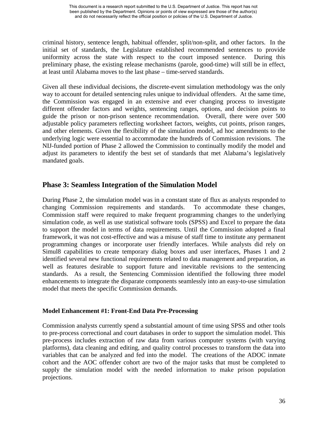criminal history, sentence length, habitual offender, split/non-split, and other factors. In the initial set of standards, the Legislature established recommended sentences to provide uniformity across the state with respect to the court imposed sentence. During this preliminary phase, the existing release mechanisms (parole, good-time) will still be in effect, at least until Alabama moves to the last phase – time-served standards.

Given all these individual decisions, the discrete-event simulation methodology was the only way to account for detailed sentencing rules unique to individual offenders. At the same time, the Commission was engaged in an extensive and ever changing process to investigate different offender factors and weights, sentencing ranges, options, and decision points to guide the prison or non-prison sentence recommendation. Overall, there were over 500 adjustable policy parameters reflecting worksheet factors, weights, cut points, prison ranges, and other elements. Given the flexibility of the simulation model, ad hoc amendments to the underlying logic were essential to accommodate the hundreds of Commission revisions. The NIJ-funded portion of Phase 2 allowed the Commission to continually modify the model and adjust its parameters to identify the best set of standards that met Alabama's legislatively mandated goals.

## **Phase 3: Seamless Integration of the Simulation Model**

During Phase 2, the simulation model was in a constant state of flux as analysts responded to changing Commission requirements and standards. To accommodate these changes, Commission staff were required to make frequent programming changes to the underlying simulation code, as well as use statistical software tools (SPSS) and Excel to prepare the data to support the model in terms of data requirements. Until the Commission adopted a final framework, it was not cost-effective and was a misuse of staff time to institute any permanent programming changes or incorporate user friendly interfaces. While analysts did rely on Simul8 capabilities to create temporary dialog boxes and user interfaces, Phases 1 and 2 identified several new functional requirements related to data management and preparation, as well as features desirable to support future and inevitable revisions to the sentencing standards. As a result, the Sentencing Commission identified the following three model enhancements to integrate the disparate components seamlessly into an easy-to-use simulation model that meets the specific Commission demands.

## **Model Enhancement #1: Front-End Data Pre-Processing**

Commission analysts currently spend a substantial amount of time using SPSS and other tools to pre-process correctional and court databases in order to support the simulation model. This pre-process includes extraction of raw data from various computer systems (with varying platforms), data cleaning and editing, and quality control processes to transform the data into variables that can be analyzed and fed into the model. The creations of the ADOC inmate cohort and the AOC offender cohort are two of the major tasks that must be completed to supply the simulation model with the needed information to make prison population projections.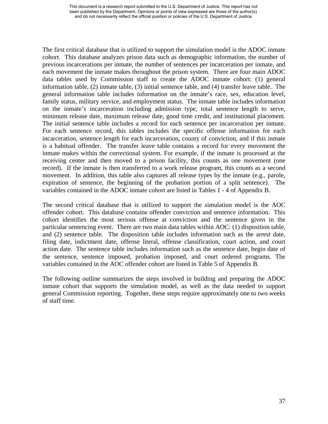The first critical database that is utilized to support the simulation model is the ADOC inmate cohort. This database analyzes prison data such as demographic information, the number of previous incarcerations per inmate, the number of sentences per incarceration per inmate, and each movement the inmate makes throughout the prison system. There are four main ADOC data tables used by Commission staff to create the ADOC inmate cohort: (1) general information table, (2) inmate table, (3) initial sentence table, and (4) transfer leave table. The general information table includes information on the inmate's race, sex, education level, family status, military service, and employment status. The inmate table includes information on the inmate's incarceration including admission type, total sentence length to serve, minimum release date, maximum release date, good time credit, and institutional placement. The initial sentence table includes a record for each sentence per incarceration per inmate. For each sentence record, this tables includes the specific offense information for each incarceration, sentence length for each incarceration, county of conviction, and if this inmate is a habitual offender. The transfer leave table contains a record for every movement the inmate makes within the correctional system. For example, if the inmate is processed at the receiving center and then moved to a prison facility, this counts as one movement (one record). If the inmate is then transferred to a work release program, this counts as a second movement. In addition, this table also captures all release types by the inmate (e.g., parole, expiration of sentence, the beginning of the probation portion of a split sentence). The variables contained in the ADOC inmate cohort are listed in Tables 1 - 4 of Appendix B.

The second critical database that is utilized to support the simulation model is the AOC offender cohort. This database contains offender conviction and sentence information. This cohort identifies the most serious offense at conviction and the sentence given in the particular sentencing event. There are two main data tables within AOC: (1) disposition table, and (2) sentence table. The disposition table includes information such as the arrest date, filing date, indictment date, offense literal, offense classification, court action, and court action date. The sentence table includes information such as the sentence date, begin date of the sentence, sentence imposed, probation imposed, and court ordered programs. The variables contained in the AOC offender cohort are listed in Table 5 of Appendix B.

The following outline summarizes the steps involved in building and preparing the ADOC inmate cohort that supports the simulation model, as well as the data needed to support general Commission reporting. Together, these steps require approximately one to two weeks of staff time.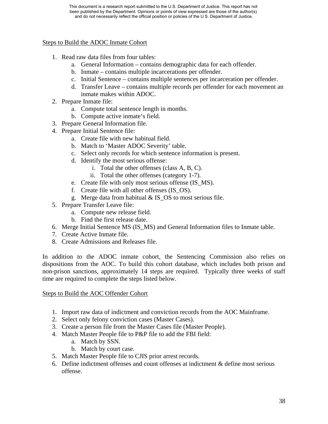## Steps to Build the ADOC Inmate Cohort

- 1. Read raw data files from four tables:
	- a. General Information contains demographic data for each offender.
	- b. Inmate contains multiple incarcerations per offender.
	- c. Initial Sentence contains multiple sentences per incarceration per offender.
	- d. Transfer Leave contains multiple records per offender for each movement an inmate makes within ADOC.
- 2. Prepare Inmate file:
	- a. Compute total sentence length in months.
	- b. Compute active inmate's field.
- 3. Prepare General Information file.
- 4. Prepare Initial Sentence file:
	- a. Create file with new habitual field.
	- b. Match to 'Master ADOC Severity' table.
	- c. Select only records for which sentence information is present.
	- d. Identify the most serious offense:
		- i. Total the other offenses (class A, B, C).
		- ii. Total the other offenses (category 1-7).
	- e. Create file with only most serious offense (IS\_MS).
	- f. Create file with all other offenses (IS\_OS).
	- g. Merge data from habitual & IS\_OS to most serious file.
- 5. Prepare Transfer Leave file:
	- a. Compute new release field.
	- b. Find the first release date.
- 6. Merge Initial Sentence MS (IS\_MS) and General Information files to Inmate table.
- 7. Create Active Inmate file.
- 8. Create Admissions and Releases file.

In addition to the ADOC inmate cohort, the Sentencing Commission also relies on dispositions from the AOC. To build this cohort database, which includes both prison and non-prison sanctions, approximately 14 steps are required. Typically three weeks of staff time are required to complete the steps listed below.

#### Steps to Build the AOC Offender Cohort

- 1. Import raw data of indictment and conviction records from the AOC Mainframe.
- 2. Select only felony conviction cases (Master Cases).
- 3. Create a person file from the Master Cases file (Master People).
- 4. Match Master People file to P&P file to add the FBI field:
	- a. Match by SSN.
	- b. Match by court case.
- 5. Match Master People file to CJIS prior arrest records.
- 6. Define indictment offenses and count offenses at indictment & define most serious offense.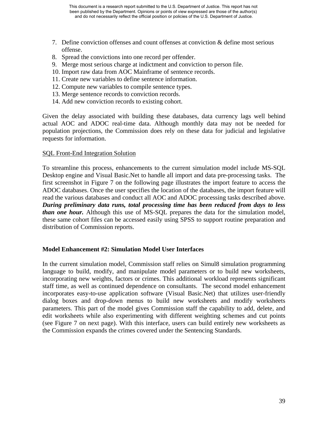- 7. Define conviction offenses and count offenses at conviction & define most serious offense.
- 8. Spread the convictions into one record per offender.
- 9. Merge most serious charge at indictment and conviction to person file.
- 10. Import raw data from AOC Mainframe of sentence records.
- 11. Create new variables to define sentence information.
- 12. Compute new variables to compile sentence types.
- 13. Merge sentence records to conviction records.
- 14. Add new conviction records to existing cohort.

Given the delay associated with building these databases, data currency lags well behind actual AOC and ADOC real-time data. Although monthly data may not be needed for population projections, the Commission does rely on these data for judicial and legislative requests for information.

#### SQL Front-End Integration Solution

To streamline this process, enhancements to the current simulation model include MS-SQL Desktop engine and Visual Basic.Net to handle all import and data pre-processing tasks. The first screenshot in Figure 7 on the following page illustrates the import feature to access the ADOC databases. Once the user specifies the location of the databases, the import feature will read the various databases and conduct all AOC and ADOC processing tasks described above. *During preliminary data runs, total processing time has been reduced from days to less than one hour.* Although this use of MS-SQL prepares the data for the simulation model, these same cohort files can be accessed easily using SPSS to support routine preparation and distribution of Commission reports.

#### **Model Enhancement #2: Simulation Model User Interfaces**

In the current simulation model, Commission staff relies on Simul8 simulation programming language to build, modify, and manipulate model parameters or to build new worksheets, incorporating new weights, factors or crimes. This additional workload represents significant staff time, as well as continued dependence on consultants. The second model enhancement incorporates easy-to-use application software (Visual Basic.Net) that utilizes user-friendly dialog boxes and drop-down menus to build new worksheets and modify worksheets parameters. This part of the model gives Commission staff the capability to add, delete, and edit worksheets while also experimenting with different weighting schemes and cut points (see Figure 7 on next page). With this interface, users can build entirely new worksheets as the Commission expands the crimes covered under the Sentencing Standards.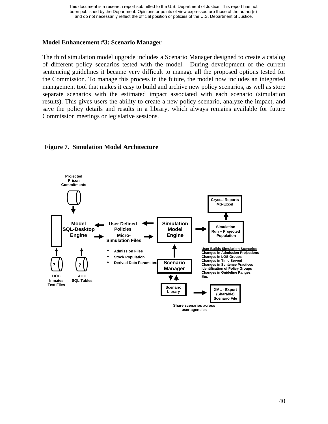## **Model Enhancement #3: Scenario Manager**

The third simulation model upgrade includes a Scenario Manager designed to create a catalog of different policy scenarios tested with the model. During development of the current sentencing guidelines it became very difficult to manage all the proposed options tested for the Commission. To manage this process in the future, the model now includes an integrated management tool that makes it easy to build and archive new policy scenarios, as well as store separate scenarios with the estimated impact associated with each scenario (simulation results). This gives users the ability to create a new policy scenario, analyze the impact, and save the policy details and results in a library, which always remains available for future Commission meetings or legislative sessions.



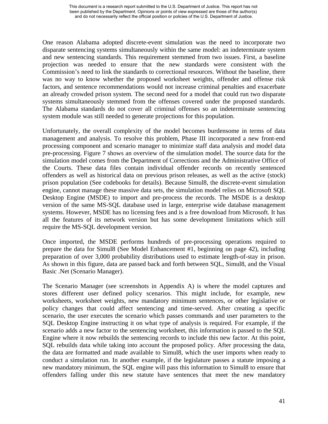One reason Alabama adopted discrete-event simulation was the need to incorporate two disparate sentencing systems simultaneously within the same model: an indeterminate system and new sentencing standards. This requirement stemmed from two issues. First, a baseline projection was needed to ensure that the new standards were consistent with the Commission's need to link the standards to correctional resources. Without the baseline, there was no way to know whether the proposed worksheet weights, offender and offense risk factors, and sentence recommendations would not increase criminal penalties and exacerbate an already crowded prison system. The second need for a model that could run two disparate systems simultaneously stemmed from the offenses covered under the proposed standards. The Alabama standards do not cover all criminal offenses so an indeterminate sentencing system module was still needed to generate projections for this population.

Unfortunately, the overall complexity of the model becomes burdensome in terms of data management and analysis. To resolve this problem, Phase III incorporated a new front-end processing component and scenario manager to minimize staff data analysis and model data pre-processing. Figure 7 shows an overview of the simulation model. The source data for the simulation model comes from the Department of Corrections and the Administrative Office of the Courts. These data files contain individual offender records on recently sentenced offenders as well as historical data on previous prison releases, as well as the active (stock) prison population (See codebooks for details). Because Simul8, the discrete-event simulation engine, cannot manage these massive data sets, the simulation model relies on Microsoft SQL Desktop Engine (MSDE) to import and pre-process the records. The MSDE is a desktop version of the same MS-SQL database used in large, enterprise wide database management systems. However, MSDE has no licensing fees and is a free download from Microsoft. It has all the features of its network version but has some development limitations which still require the MS-SQL development version.

Once imported, the MSDE performs hundreds of pre-processing operations required to prepare the data for Simul8 (See Model Enhancement #1, beginning on page 42), including preparation of over 3,000 probability distributions used to estimate length-of-stay in prison. As shown in this figure, data are passed back and forth between SQL, Simul8, and the Visual Basic .Net (Scenario Manager).

The Scenario Manager (see screenshots in Appendix A) is where the model captures and stores different user defined policy scenarios. This might include, for example, new worksheets, worksheet weights, new mandatory minimum sentences, or other legislative or policy changes that could affect sentencing and time-served. After creating a specific scenario, the user executes the scenario which passes commands and user parameters to the SQL Desktop Engine instructing it on what type of analysis is required. For example, if the scenario adds a new factor to the sentencing worksheet, this information is passed to the SQL Engine where it now rebuilds the sentencing records to include this new factor. At this point, SQL rebuilds data while taking into account the proposed policy. After processing the data, the data are formatted and made available to Simul8, which the user imports when ready to conduct a simulation run. In another example, if the legislature passes a statute imposing a new mandatory minimum, the SQL engine will pass this information to Simul8 to ensure that offenders falling under this new statute have sentences that meet the new mandatory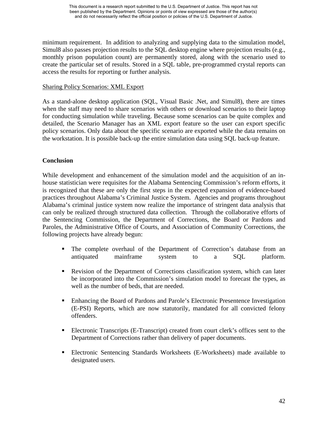minimum requirement. In addition to analyzing and supplying data to the simulation model, Simul8 also passes projection results to the SQL desktop engine where projection results (e.g., monthly prison population count) are permanently stored, along with the scenario used to create the particular set of results. Stored in a SQL table, pre-programmed crystal reports can access the results for reporting or further analysis.

## Sharing Policy Scenarios: XML Export

As a stand-alone desktop application (SQL, Visual Basic .Net, and Simul8), there are times when the staff may need to share scenarios with others or download scenarios to their laptop for conducting simulation while traveling. Because some scenarios can be quite complex and detailed, the Scenario Manager has an XML export feature so the user can export specific policy scenarios. Only data about the specific scenario are exported while the data remains on the workstation. It is possible back-up the entire simulation data using SQL back-up feature.

## **Conclusion**

While development and enhancement of the simulation model and the acquisition of an inhouse statistician were requisites for the Alabama Sentencing Commission's reform efforts, it is recognized that these are only the first steps in the expected expansion of evidence-based practices throughout Alabama's Criminal Justice System. Agencies and programs throughout Alabama's criminal justice system now realize the importance of stringent data analysis that can only be realized through structured data collection. Through the collaborative efforts of the Sentencing Commission, the Department of Corrections, the Board or Pardons and Paroles, the Administrative Office of Courts, and Association of Community Corrections, the following projects have already begun:

- The complete overhaul of the Department of Correction's database from an antiquated mainframe system to a SQL platform.
- Revision of the Department of Corrections classification system, which can later be incorporated into the Commission's simulation model to forecast the types, as well as the number of beds, that are needed.
- Enhancing the Board of Pardons and Parole's Electronic Presentence Investigation (E-PSI) Reports, which are now statutorily, mandated for all convicted felony offenders.
- Electronic Transcripts (E-Transcript) created from court clerk's offices sent to the Department of Corrections rather than delivery of paper documents.
- Electronic Sentencing Standards Worksheets (E-Worksheets) made available to designated users.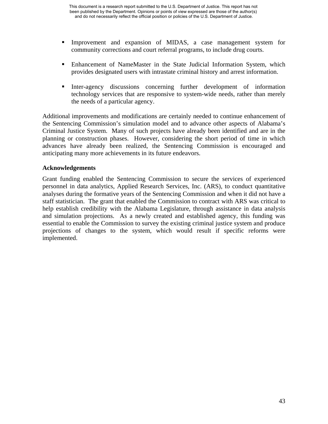- Improvement and expansion of MIDAS, a case management system for community corrections and court referral programs, to include drug courts.
- **Enhancement of NameMaster in the State Judicial Information System, which** provides designated users with intrastate criminal history and arrest information.
- Inter-agency discussions concerning further development of information technology services that are responsive to system-wide needs, rather than merely the needs of a particular agency.

Additional improvements and modifications are certainly needed to continue enhancement of the Sentencing Commission's simulation model and to advance other aspects of Alabama's Criminal Justice System. Many of such projects have already been identified and are in the planning or construction phases. However, considering the short period of time in which advances have already been realized, the Sentencing Commission is encouraged and anticipating many more achievements in its future endeavors.

## **Acknowledgements**

Grant funding enabled the Sentencing Commission to secure the services of experienced personnel in data analytics, Applied Research Services, Inc. (ARS), to conduct quantitative analyses during the formative years of the Sentencing Commission and when it did not have a staff statistician. The grant that enabled the Commission to contract with ARS was critical to help establish credibility with the Alabama Legislature, through assistance in data analysis and simulation projections. As a newly created and established agency, this funding was essential to enable the Commission to survey the existing criminal justice system and produce projections of changes to the system, which would result if specific reforms were implemented.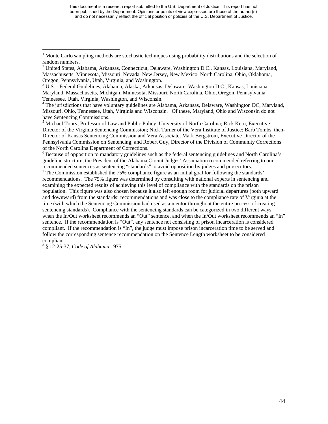This document is a research report submitted to the U.S. Department of Justice. This report has not been published by the Department. Opinions or points of view expressed are those of the author(s) and do not necessarily reflect the official position or policies of the U.S. Department of Justice.

<sup>4</sup> The jurisdictions that have voluntary guidelines are Alabama, Arkansas, Delaware, Washington DC, Maryland, Missouri, Ohio, Tennessee, Utah, Virginia and Wisconsin. Of these, Maryland, Ohio and Wisconsin do not have Sentencing Commissions.

<sup>5</sup> Michael Tonry, Professor of Law and Public Policy, University of North Carolina; Rick Kern, Executive Director of the Virginia Sentencing Commission; Nick Turner of the Vera Institute of Justice; Barb Tombs, then-Director of Kansas Sentencing Commission and Vera Associate; Mark Bergstrom, Executive Director of the Pennsylvania Commission on Sentencing; and Robert Guy, Director of the Division of Community Corrections of the North Carolina Department of Corrections. 6

 $6$  Because of opposition to mandatory guidelines such as the federal sentencing guidelines and North Carolina's guideline structure, the President of the Alabama Circuit Judges' Association recommended referring to our recommended sentences as sentencing "standards" to avoid opposition by judges and prosecutors.

 $7$  The Commission established the 75% compliance figure as an initial goal for following the standards' recommendations. The 75% figure was determined by consulting with national experts in sentencing and examining the expected results of achieving this level of compliance with the standards on the prison population. This figure was also chosen because it also left enough room for judicial departures (both upward and downward) from the standards' recommendations and was close to the compliance rate of Virginia at the time (with which the Sentencing Commission had used as a mentor throughout the entire process of creating sentencing standards). Compliance with the sentencing standards can be categorized in two different ways – when the In/Out worksheet recommends an "Out" sentence, and when the In/Out worksheet recommends an "In" sentence. If the recommendation is "Out", any sentence not consisting of prison incarceration is considered compliant. If the recommendation is "In", the judge must impose prison incarceration time to be served and follow the corresponding sentence recommendation on the Sentence Length worksheet to be considered compliant.

§ 12-25-37, *Code of Alabama* 1975.

<sup>1</sup> Monte Carlo sampling methods are stochastic techniques using probability distributions and the selection of random numbers.

<sup>&</sup>lt;sup>2</sup> United States, Alabama, Arkansas, Connecticut, Delaware, Washington D.C., Kansas, Louisiana, Maryland, Massachusetts, Minnesota, Missouri, Nevada, New Jersey, New Mexico, North Carolina, Ohio, Oklahoma, Oregon, Pennsylvania, Utah, Virginia, and Washington. 3

 $3 \text{ U.S.}$  - Federal Guidelines, Alabama, Alaska, Arkansas, Delaware, Washington D.C., Kansas, Louisiana, Maryland, Massachusetts, Michigan, Minnesota, Missouri, North Carolina, Ohio, Oregon, Pennsylvania, Tennessee, Utah, Virginia, Washington, and Wisconsin. 4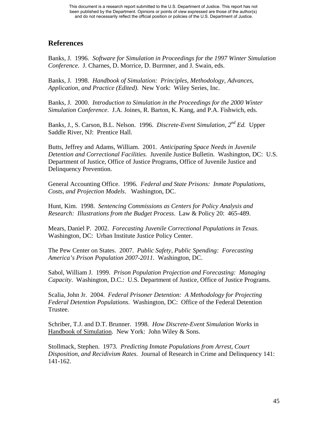## **References**

Banks, J. 1996. *Software for Simulation in Proceedings for the 1997 Winter Simulation Conference*. J. Charnes, D. Morrice, D. Burrnner, and J. Swain, eds.

Banks, J. 1998. *Handbook of Simulation: Principles, Methodology, Advances, Application, and Practice (Edited).* New York: Wiley Series, Inc.

Banks, J. 2000. *Introduction to Simulation in the Proceedings for the 2000 Winter Simulation Conference*. J.A. Joines, R. Barton, K. Kang, and P.A. Fishwich, eds.

Banks, J., S. Carson, B.L. Nelson. 1996. *Discrete-Event Simulation, 2nd Ed.* Upper Saddle River, NJ: Prentice Hall.

Butts, Jeffrey and Adams, William. 2001. *Anticipating Space Needs in Juvenile Detention and Correctional Facilities.* Juvenile Justice Bulletin. Washington, DC: U.S. Department of Justice, Office of Justice Programs, Office of Juvenile Justice and Delinquency Prevention.

General Accounting Office. 1996. *Federal and State Prisons: Inmate Populations, Costs, and Projection Models*. Washington, DC.

Hunt, Kim. 1998. *Sentencing Commissions as Centers for Policy Analysis and Research: Illustrations from the Budget Process*. Law & Policy 20: 465-489.

Mears, Daniel P. 2002. *Forecasting Juvenile Correctional Populations in Texas*. Washington, DC: Urban Institute Justice Policy Center.

The Pew Center on States. 2007. *Public Safety, Public Spending: Forecasting America's Prison Population 2007-2011.* Washington, DC.

Sabol, William J. 1999. *Prison Population Projection and Forecasting: Managing Capacity*. Washington, D.C.: U.S. Department of Justice, Office of Justice Programs.

Scalia, John Jr. 2004. *Federal Prisoner Detention: A Methodology for Projecting Federal Detention Populations*. Washington, DC: Office of the Federal Detention Trustee.

Schriber, T.J. and D.T. Brunner. 1998. *How Discrete-Event Simulation Works* in Handbook of Simulation. New York: John Wiley & Sons.

Stollmack, Stephen. 1973. *Predicting Inmate Populations from Arrest, Court Disposition, and Recidivism Rates*. Journal of Research in Crime and Delinquency 141: 141-162.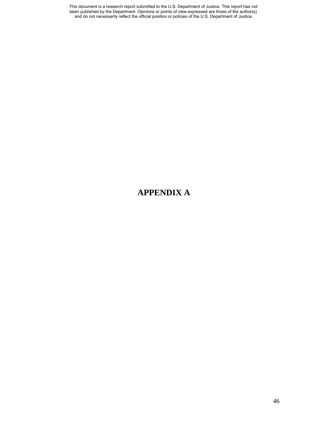This document is a research report submitted to the U.S. Department of Justice. This report has not been published by the Department. Opinions or points of view expressed are those of the author(s) and do not necessarily reflect the official position or policies of the U.S. Department of Justice.

## **APPENDIX A**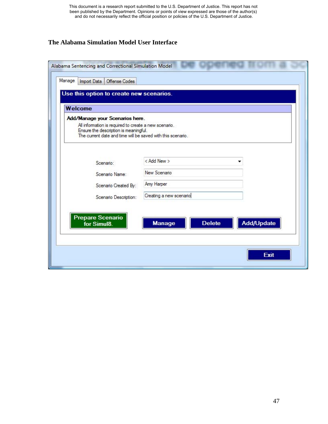This document is a research report submitted to the U.S. Department of Justice. This report has not been published by the Department. Opinions or points of view expressed are those of the author(s) and do not necessarily reflect the official position or policies of the U.S. Department of Justice.

## **The Alabama Simulation Model User Interface**

| Welcome                                                                                                                                                       |                                |            |
|---------------------------------------------------------------------------------------------------------------------------------------------------------------|--------------------------------|------------|
| Add/Manage your Scenarios here.                                                                                                                               |                                |            |
| All information is required to create a new scenario.<br>Ensure the description is meaningful.<br>The current date and time will be saved with this scenario. |                                |            |
| Scenario:                                                                                                                                                     | < Add New >                    |            |
| Scenario Name:                                                                                                                                                | New Scenario                   |            |
| Scenario Created By:                                                                                                                                          | Amy Harper                     |            |
| Scenario Description:                                                                                                                                         | Creating a new scenario        |            |
| Prepare Scenario<br>for Simul8.                                                                                                                               | <b>Delete</b><br><b>Manage</b> | Add/Update |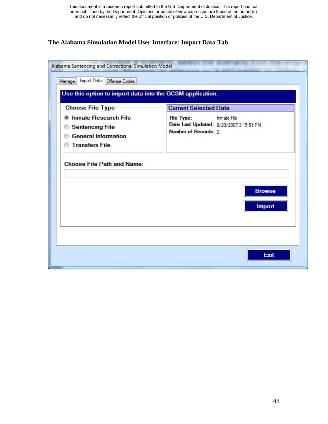## **The Alabama Simulation Model User Interface: Import Data Tab**

| <b>Choose File Type</b>                                                                                                      | <b>Current Selected Data</b>                                                                               |
|------------------------------------------------------------------------------------------------------------------------------|------------------------------------------------------------------------------------------------------------|
| <b>Inmate Research File</b><br>$\odot$<br><b>Sentencing File</b><br>⊛<br><b>General Information</b><br><b>Transfers File</b> | <b>Inmate File</b><br><b>File Type:</b><br>Date Last Updated: 8/23/2007 3:15:51 PM<br>Number of Records: 2 |
| <b>Choose File Path and Name:</b>                                                                                            |                                                                                                            |
|                                                                                                                              | <b>Browse</b>                                                                                              |
|                                                                                                                              | <b>Import</b>                                                                                              |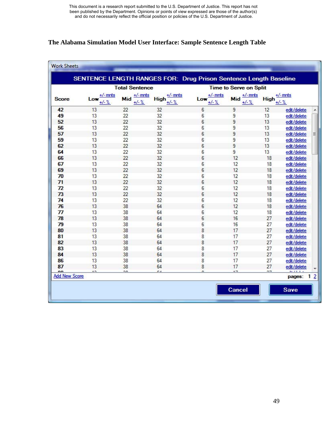## **The Alabama Simulation Model User Interface: Sample Sentence Length Table**

| <b>Total Sentence</b> |                               |                               |                                      | <b>Time to Serve on Split</b> |                              |             |                              |                |
|-----------------------|-------------------------------|-------------------------------|--------------------------------------|-------------------------------|------------------------------|-------------|------------------------------|----------------|
| <b>Score</b>          | $+/-$ mnts<br>Low<br>$+/- \%$ | $+/-$ mnts<br>Mid<br>$+/- \%$ | $+/-$ mnts<br><b>High</b><br>$+/-$ % | $+/-$ mnts<br>Low<br>$+/- \%$ | $+/-$ mnts<br>Mid<br>$+/-$ % | <b>High</b> | $+/-$ mnts<br>$+/-$ %        |                |
| 42                    | 13                            | 22                            | 32                                   | 6                             | 9                            | 12          | edit/delete                  |                |
| 49                    | 13                            | 22                            | 32                                   | 6                             | 9                            | 13          | edit/delete                  |                |
| 52                    | 13                            | 22                            | 32                                   | 6                             | 9                            | 13          | edit/delete                  |                |
| 56                    | 13                            | 22                            | 32                                   | 6                             | 9                            | 13          | edit/delete                  |                |
| 57                    | 13                            | 22                            | 32                                   | 6                             | 9                            | 13          | edit/delete                  |                |
| 59                    | 13                            | 22                            | 32                                   | 6                             | 9                            | 13          | edit/delete                  |                |
| 62                    | 13                            | 22                            | 32                                   | 6                             | 9                            | 13          | edit/delete                  |                |
| 64                    | 13                            | 22                            | 32                                   | 6                             | 9                            | 13          | edit/delete                  |                |
| 66                    | 13                            | 22                            | 32                                   | 6                             | 12                           | 18          | edit/delete                  |                |
| 67                    | 13                            | 22                            | 32                                   | 6                             | 12                           | 18          | edit/delete                  |                |
| 69                    | 13                            | 22                            | 32                                   | 6                             | 12                           | 18          | edit/delete                  |                |
| 70                    | 13                            | 22                            | 32                                   | 6                             | 12                           | 18          | edit/delete                  |                |
| 71                    | 13                            | 22                            | 32                                   | 6                             | 12                           | 18          | edit/delete                  |                |
| 72                    | 13                            | 22                            | 32                                   | 6                             | 12                           | 18          | edit/delete                  |                |
| 73                    | 13                            | 22                            | 32                                   | 6                             | 12                           | 18          | edit/delete                  |                |
| 74                    | 13                            | 22                            | 32                                   | 6                             | 12                           | 18          | edit/delete                  |                |
| 76                    | 13                            | 38                            | 64                                   | 6                             | 12                           | 18          | edit/delete                  |                |
|                       | 13                            | 38                            | 64                                   | 6                             | 12                           | 18          | edit/delete                  |                |
| 78                    | 13                            | 38                            | 64                                   | 6                             | 16                           | 27          | edit/delete                  |                |
| 79                    | 13                            | 38                            | 64                                   | 6                             | 16                           | 27          | edit/delete                  |                |
| 80                    | 13                            | 38                            | 64                                   | 8                             | 17                           | 27          | edit/delete                  |                |
| 81                    | 13                            | 38                            | 64                                   | 8                             | 17                           | 27          | edit/delete                  |                |
| 82                    | 13                            | 38                            | 64                                   | 8                             | 17                           | 27          | edit/delete                  |                |
| 83                    | 13                            | 38                            | 64                                   |                               | 17                           |             |                              |                |
| 84                    | 13                            | 38                            | 64                                   | 8<br>8                        | 17                           | 27<br>27    | edit/delete                  |                |
|                       |                               |                               |                                      |                               |                              |             | edit/delete                  |                |
| 86                    | 13                            | 38                            | 64                                   | 8                             | 17                           | 27          | edit/delete                  |                |
| 87<br>$\overline{a}$  | 13<br>$\overline{1}$          | 38<br>nn                      | 64<br>R                              | 8<br>$\overline{a}$           | 17<br>$+7$                   | 27<br>$n -$ | edit/delete<br><b>PLAT 1</b> |                |
| <b>Add New Score</b>  |                               |                               |                                      |                               |                              |             | pages:                       | 1 <sub>2</sub> |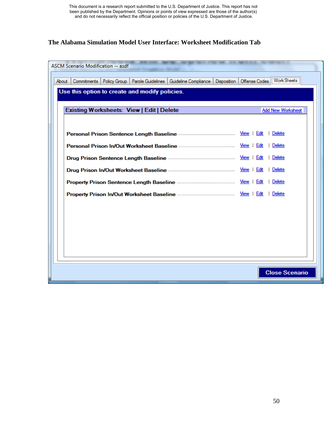## **The Alabama Simulation Model User Interface: Worksheet Modification Tab**

| <b>ASCM Scenario Modification -- asdf</b>                                                        |                                 |
|--------------------------------------------------------------------------------------------------|---------------------------------|
| Policy Group<br>Parole Guidelines<br>Disposition<br>About<br>Commitments<br>Guideline Compliance | Offense Codes   WorkSheets      |
| Use this option to create and modify policies.                                                   |                                 |
| <b>Existing Worksheets: View   Edit   Delete</b>                                                 | <b>Add New Worksheet</b>        |
|                                                                                                  |                                 |
|                                                                                                  | View   Edit<br>Delete           |
|                                                                                                  | View  <br>Edit<br>Delete        |
|                                                                                                  | <u>View</u>  <br>Edit<br>Delete |
| Delete<br>View  <br>Edit                                                                         |                                 |
|                                                                                                  | Delete                          |
|                                                                                                  | Delete                          |
|                                                                                                  |                                 |
|                                                                                                  |                                 |
|                                                                                                  |                                 |
|                                                                                                  |                                 |
|                                                                                                  |                                 |
|                                                                                                  | <b>Close Scenario</b>           |
|                                                                                                  |                                 |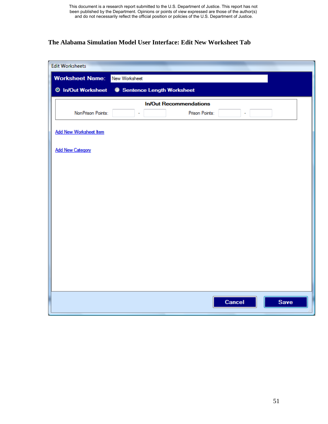## **The Alabama Simulation Model User Interface: Edit New Worksheet Tab**

| <b>Edit Worksheets</b>        |                               |
|-------------------------------|-------------------------------|
| <b>Worksheet Name:</b>        | New Worksheet                 |
| <b>O</b> In/Out Worksheet     | Sentence Length Worksheet     |
|                               | <b>In/Out Recommendations</b> |
| NonPrison Points:             | Prison Points:<br>÷           |
| <b>Add New Worksheet Item</b> |                               |
| <b>Add New Category</b>       |                               |
|                               |                               |
|                               |                               |
|                               |                               |
|                               |                               |
|                               |                               |
|                               |                               |
|                               |                               |
|                               |                               |
|                               |                               |
|                               |                               |
|                               |                               |
|                               | Cancel<br>Save                |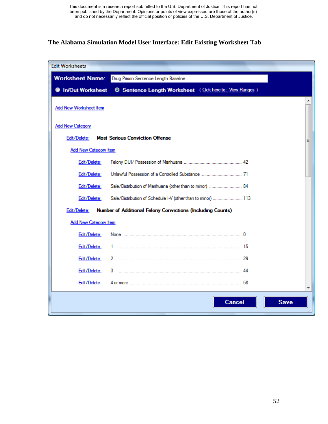## **The Alabama Simulation Model User Interface: Edit Existing Worksheet Tab**

| <b>Edit Worksheets</b>       |                                                                   |   |
|------------------------------|-------------------------------------------------------------------|---|
| <b>Worksheet Name:</b>       | Drug Prison Sentence Length Baseline                              |   |
| <b>In/Out Worksheet</b>      | <b>O Sentence Length Worksheet</b> (Cick here to: View Ranges)    |   |
| Add New Worksheet Item       |                                                                   |   |
| <b>Add New Category</b>      |                                                                   |   |
| Edit/Delete:                 | <b>Most Serious Conviction Offense</b>                            | Ξ |
| <b>Add New Category Item</b> |                                                                   |   |
| Edit/Delete:                 |                                                                   |   |
| Edit/Delete:                 |                                                                   |   |
| Edit/Delete:                 | Sale/Distribution of Marihuana (other than to minor)  84          |   |
| Edit/Delete:                 | Sale/Distribution of Schedule I-V (other than to minor)  113      |   |
| Edit/Delete:                 | <b>Number of Additional Felony Convictions (Including Counts)</b> |   |
| <b>Add New Category Item</b> |                                                                   |   |
| Edit/Delete:                 |                                                                   |   |
| Edit/Delete:                 | 1.                                                                |   |
| Edit/Delete:                 | 2                                                                 |   |
| Edit/Delete:                 | 3.                                                                |   |
| Edit/Delete:                 |                                                                   |   |
|                              | <b>Cancel</b><br><b>Save</b>                                      |   |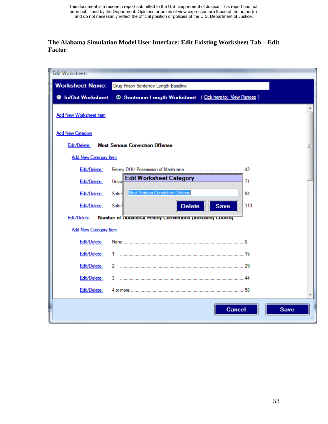## **The Alabama Simulation Model User Interface: Edit Existing Worksheet Tab – Edit Factor**

| <b>Edit Worksheets</b>       |                                                              |  |
|------------------------------|--------------------------------------------------------------|--|
| <b>Worksheet Name:</b>       | Drug Prison Sentence Length Baseline                         |  |
| In/Out Worksheet             | <b>Sentence Length Worksheet</b> (Cick here to: View Ranges) |  |
| Add New Worksheet Item       |                                                              |  |
| <b>Add New Category</b>      |                                                              |  |
| Edit/Delete:                 | <b>Most Serious Conviction Offense</b><br>Ξ                  |  |
| <b>Add New Category Item</b> |                                                              |  |
| Edit/Delete:                 | 42                                                           |  |
| Edit/Delete:                 | <b>Edit Worksheet Category</b><br>Unlay<br>71                |  |
| Edit/Delete:                 | Most Serious Conviction Offense<br>84<br>Sale/               |  |
| Edit/Delete:                 | Sale/<br>113<br><b>Delete</b><br><b>Save</b>                 |  |
| Edit/Delete:                 | Number of recomment retorty corretations (including counts)  |  |
| <b>Add New Category Item</b> |                                                              |  |
| Edit/Delete:                 |                                                              |  |
| Edit/Delete:                 | 1.                                                           |  |
| Edit/Delete:                 | 2                                                            |  |
| Edit/Delete:                 | 3<br>44                                                      |  |
| Edit/Delete:                 | 58<br>4 or more ………………………………………………………………………………               |  |
|                              | <b>Cancel</b><br><b>Save</b>                                 |  |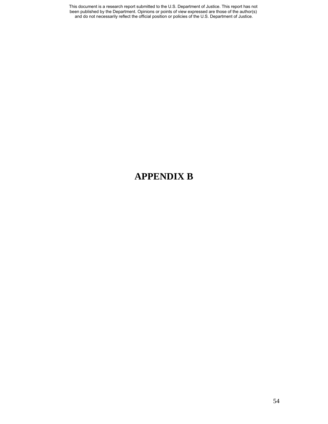This document is a research report submitted to the U.S. Department of Justice. This report has not been published by the Department. Opinions or points of view expressed are those of the author(s) and do not necessarily reflect the official position or policies of the U.S. Department of Justice.

## **APPENDIX B**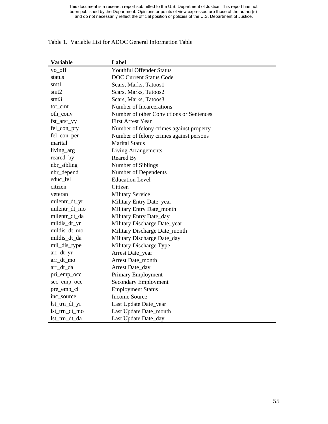#### Table 1. Variable List for ADOC General Information Table

| <b>Variable</b> | Label                                    |
|-----------------|------------------------------------------|
| yo_off          | <b>Youthful Offender Status</b>          |
| status          | <b>DOC Current Status Code</b>           |
| smt1            | Scars, Marks, Tatoos1                    |
| smt2            | Scars, Marks, Tatoos2                    |
| smt3            | Scars, Marks, Tatoos3                    |
| tot_cmt         | Number of Incarcerations                 |
| oth_conv        | Number of other Convictions or Sentences |
| fst_arst_yy     | <b>First Arrest Year</b>                 |
| fel_con_pty     | Number of felony crimes against property |
| fel_con_per     | Number of felony crimes against persons  |
| marital         | <b>Marital Status</b>                    |
| living_arg      | <b>Living Arrangements</b>               |
| reared_by       | Reared By                                |
| nbr_sibling     | Number of Siblings                       |
| nbr_depend      | Number of Dependents                     |
| educ_lvl        | <b>Education Level</b>                   |
| citizen         | Citizen                                  |
| veteran         | <b>Military Service</b>                  |
| milentr_dt_yr   | Military Entry Date_year                 |
| milentr_dt_mo   | Military Entry Date_month                |
| milentr_dt_da   | Military Entry Date_day                  |
| mildis_dt_yr    | Military Discharge Date_year             |
| mildis_dt_mo    | Military Discharge Date_month            |
| mildis_dt_da    | Military Discharge Date_day              |
| mil_dis_type    | Military Discharge Type                  |
| $arr_d t_y$     | Arrest Date_year                         |
| arr_dt_mo       | Arrest Date_month                        |
| arr_dt_da       | Arrest Date_day                          |
| pri_emp_occ     | Primary Employment                       |
| sec_emp_occ     | <b>Secondary Employment</b>              |
| pre_emp_cl      | <b>Employment Status</b>                 |
| inc_source      | <b>Income Source</b>                     |
| lst_trn_dt_yr   | Last Update Date_year                    |
| lst_trn_dt_mo   | Last Update Date_month                   |
| lst_trn_dt_da   | Last Update Date_day                     |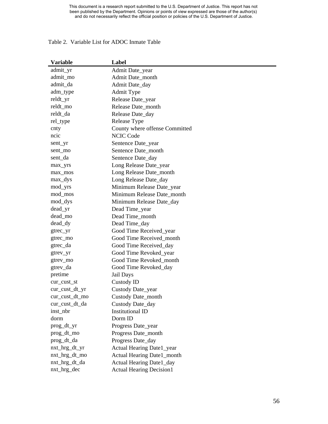#### Table 2. Variable List for ADOC Inmat e Table

| <b>Variable</b> | Label                           |
|-----------------|---------------------------------|
| admit_yr        | Admit Date_year                 |
| admit_mo        | Admit Date_month                |
| admit_da        | Admit Date_day                  |
| adm_type        | <b>Admit Type</b>               |
| reldt_yr        | Release Date_year               |
| reldt_mo        | Release Date_month              |
| reldt_da        | Release Date_day                |
| rel_type        | Release Type                    |
| cnty            | County where offense Committed  |
| ncic            | <b>NCIC Code</b>                |
| sent_yr         | Sentence Date_year              |
| sent_mo         | Sentence Date_month             |
| sent_da         | Sentence Date_day               |
| max_yrs         | Long Release Date_year          |
| max_mos         | Long Release Date_month         |
| max_dys         | Long Release Date_day           |
| mod_yrs         | Minimum Release Date_year       |
| mod_mos         | Minimum Release Date_month      |
| mod_dys         | Minimum Release Date_day        |
| dead_yr         | Dead Time_year                  |
| dead_mo         | Dead Time_month                 |
| dead_dy         | Dead Time_day                   |
| gtrec_yr        | Good Time Received_year         |
| gtrec_mo        | Good Time Received_month        |
| gtrec_da        | Good Time Received_day          |
| gtrev_yr        | Good Time Revoked_year          |
| gtrev_mo        | Good Time Revoked_month         |
| gtrev_da        | Good Time Revoked_day           |
| pretime         | Jail Days                       |
| cur_cust_st     | Custody ID                      |
| cur_cust_dt_yr  | Custody Date_year               |
| cur cust dt mo  | Custody Date_month              |
| cur_cust_dt_da  | Custody Date_day                |
| inst_nbr        | <b>Institutional ID</b>         |
| dorm            | Dorm ID                         |
| prog_dt_yr      | Progress Date_year              |
| prog_dt_mo      | Progress Date_month             |
| prog_dt_da      | Progress Date_day               |
| nxt_hrg_dt_yr   | Actual Hearing Date1_year       |
| nxt_hrg_dt_mo   | Actual Hearing Date1_month      |
| nxt_hrg_dt_da   | Actual Hearing Date1_day        |
| nxt_hrg_dec     | <b>Actual Hearing Decision1</b> |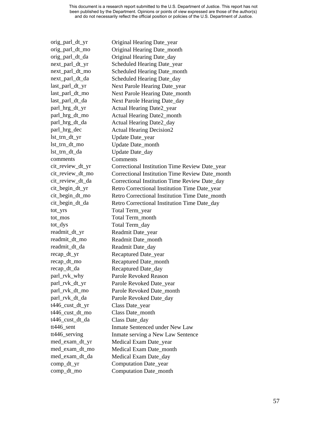orig\_parl\_dt\_yr Original Hearing Date year orig\_parl\_dt\_mo Original Hearing Date\_month orig\_parl\_dt\_da Original Hearing Date\_day next\_parl\_dt\_yr Scheduled Hearing Date\_year next\_parl\_dt\_mo Scheduled Hearing Date\_month next\_parl\_dt\_da Scheduled Hearing Date day last\_parl\_dt\_yr Next Parole Hearing Date\_year last\_parl\_dt\_mo Next Parole Hearing Date\_month last\_parl\_dt\_da Next Parole Hearing Date day parl\_hrg\_dt\_yr Actual Hearing Date2 year parl\_hrg\_dt\_mo Actual Hearing Date2\_month parl\_hrg\_dt\_da Actual Hearing Date2\_day parl\_hrg\_dec Actual Hearing Decision2 lst\_trn\_dt\_yr Update Date\_year lst\_trn\_dt\_mo Update Date\_month lst\_trn\_dt\_da Update Date\_day comments Comments cit\_review\_dt\_yr Correctional Institution Time Review Date\_year cit\_review\_dt\_mo Correctional Institution Time Review Date\_month cit\_review\_dt\_da Correctional Institution Time Review Date\_day cit\_begin\_dt\_yr Retro Correctional Institution Time Date\_year cit\_begin\_dt\_mo Retro Correctional Institution Time Date\_month cit\_begin\_dt\_da Retro Correctional Institution Time Date\_day tot\_yrs Total Term\_year tot\_mos Total Term\_month tot\_dys Total Term\_day readmit\_dt\_yr Readmit Date\_year readmit\_dt\_mo Readmit Date\_month readmit\_dt\_da Readmit Date\_day recap\_dt\_yr Recaptured Date\_year recap\_dt\_mo Recaptured Date\_month recap\_dt\_da Recaptured Date\_day parl\_rvk\_why Parole Revoked Reason parl\_rvk\_dt\_yr Parole Revoked Date\_year parl\_rvk\_dt\_mo Parole Revoked Date\_month parl\_rvk\_dt\_da Parole Revoked Date\_day t446\_cust\_dt\_yr Class Date\_year t446\_cust\_dt\_mo Class Date\_month t446\_cust\_dt\_da Class Date\_day tt446\_sent Inmate Sentenced under New Law tt446\_serving Inmate serving a New Law Sentence med\_exam\_dt\_yr Medical Exam Date\_year med exam dt mo Medical Exam Date month med\_exam\_dt\_da Medical Exam Date\_day comp\_dt\_yr Computation Date\_year comp\_dt\_mo Computation Date\_month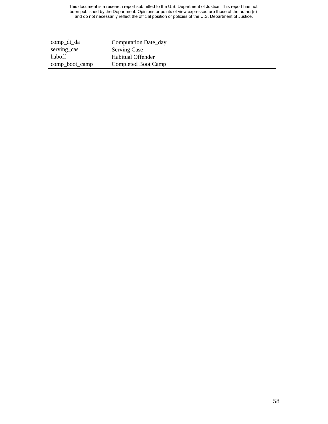This document is a research report submitted to the U.S. Department of Justice. This report has not been published by the Department. Opinions or points of view expressed are those of the author(s) and do not necessarily reflect the official position or policies of the U.S. Department of Justice.

| comp_dt_da     | Computation Date_day |
|----------------|----------------------|
| serving_cas    | <b>Serving Case</b>  |
| haboff         | Habitual Offender    |
| comp_boot_camp | Completed Boot Camp  |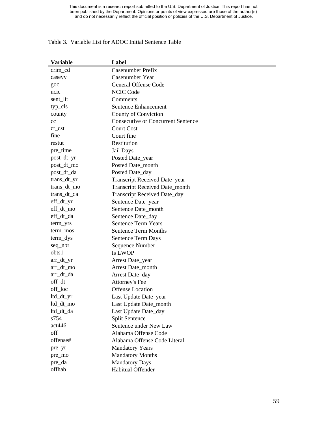#### Table 3. Variable List for ADOC Initial Sentence Table

| <b>Variable</b>                  | Label                                     |
|----------------------------------|-------------------------------------------|
| crim_cd                          | Casenumber Prefix                         |
| caseyy                           | Casenumber Year                           |
| goc                              | <b>General Offense Code</b>               |
| ncic                             | <b>NCIC Code</b>                          |
| sent_lit                         | Comments                                  |
| typ_cls                          | <b>Sentence Enhancement</b>               |
| county                           | County of Conviction                      |
| cc                               | <b>Consecutive or Concurrent Sentence</b> |
| $ct\_cst$                        | <b>Court Cost</b>                         |
| fine                             | Court fine                                |
| restut                           | Restitution                               |
| pre_time                         | Jail Days                                 |
| post_dt_yr                       | Posted Date_year                          |
| post_dt_mo                       | Posted Date_month                         |
| post_dt_da                       | Posted Date_day                           |
| trans_dt_yr                      | Transcript Received Date_year             |
| trans_dt_mo                      | Transcript Received Date_month            |
| trans_dt_da                      | <b>Transcript Received Date_day</b>       |
| $\text{eff}_\text{d}t_\text{yr}$ | Sentence Date_year                        |
| eff_dt_mo                        | Sentence Date_month                       |
| eff_dt_da                        | Sentence Date_day                         |
| term_yrs                         | <b>Sentence Term Years</b>                |
| term_mos                         | <b>Sentence Term Months</b>               |
| term_dys                         | Sentence Term Days                        |
| seq_nbr                          | Sequence Number                           |
| obts1                            | <b>Is LWOP</b>                            |
| $arr_d t_yr$                     | Arrest Date_year                          |
| arr_dt_mo                        | Arrest Date_month                         |
| arr_dt_da                        | Arrest Date_day                           |
| off_dt                           | Attorney's Fee                            |
| off_loc                          | <b>Offense Location</b>                   |
| ltd_dt_yr                        | Last Update Date_year                     |
| ltd_dt_mo                        | Last Update Date_month                    |
| ltd_dt_da                        | Last Update Date_day                      |
| s754                             | <b>Split Sentence</b>                     |
| act446                           | Sentence under New Law                    |
| off                              | Alabama Offense Code                      |
| offense#                         | Alabama Offense Code Literal              |
| pre_yr                           | <b>Mandatory Years</b>                    |
| pre_mo                           | <b>Mandatory Months</b>                   |
| pre_da                           | <b>Mandatory Days</b>                     |
| offhab                           | Habitual Offender                         |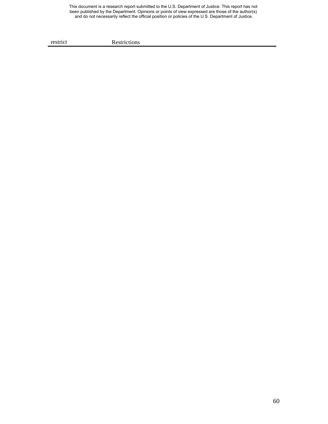This document is a research report submitted to the U.S. Department of Justice. This report has not been published by the Department. Opinions or points of view expressed are those of the author(s) and do not necessarily reflect the official position or policies of the U.S. Department of Justice.

restrict Restrictions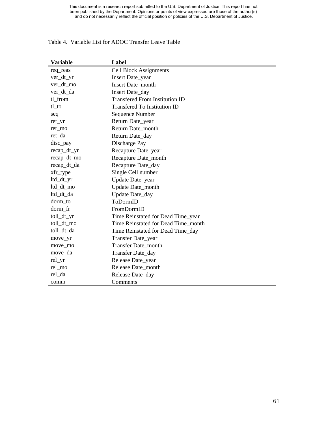| <b>Variable</b> | Label                                 |
|-----------------|---------------------------------------|
| req_reas        | <b>Cell Block Assignments</b>         |
| ver_dt_yr       | Insert Date_year                      |
| ver_dt_mo       | Insert Date_month                     |
| ver_dt_da       | Insert Date_day                       |
| tl_from         | <b>Transfered From Institution ID</b> |
| $t$ l_ $t$ o    | <b>Transfered To Institution ID</b>   |
| seq             | Sequence Number                       |
| ret_yr          | Return Date_year                      |
| ret_mo          | Return Date_month                     |
| ret_da          | Return Date_day                       |
| disc_pay        | Discharge Pay                         |
| recap_dt_yr     | Recapture Date_year                   |
| recap_dt_mo     | Recapture Date_month                  |
| recap_dt_da     | Recapture Date_day                    |
| xfr_type        | Single Cell number                    |
| ltd_dt_yr       | Update Date_year                      |
| ltd_dt_mo       | Update Date_month                     |
| ltd_dt_da       | Update Date_day                       |
| dorm_to         | ToDormID                              |
| dorm_fr         | FromDormID                            |
| toll_dt_yr      | Time Reinstated for Dead Time_year    |
| toll_dt_mo      | Time Reinstated for Dead Time_month   |
| toll_dt_da      | Time Reinstated for Dead Time_day     |
| move_yr         | Transfer Date_year                    |
| move_mo         | Transfer Date_month                   |
| move_da         | Transfer Date_day                     |
| rel_yr          | Release Date_year                     |
| rel_mo          | Release Date month                    |
| rel_da          | Release Date_day                      |
| comm            | Comments                              |

#### Table 4. Variable List for ADOC Transfer Leave Table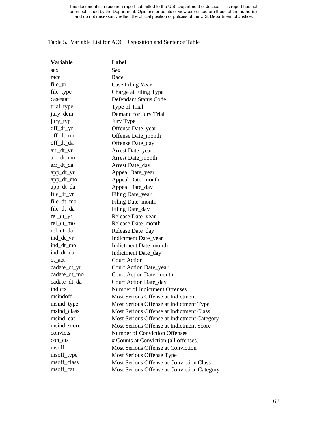## **Variable Label**  sex Sex race Race file\_yr Case Filing Year file\_type Charge at Filing Type casestat Defendant Status Code trial\_type Type of Trial jury\_dem Demand for Jury Trial jury\_typ Jury Type off\_dt\_yr Offense Date year off\_dt\_mo Offense Date\_month off\_dt\_da Offense Date\_day arr\_dt\_yr Arrest Date\_year arr\_dt\_mo Arrest Date\_month arr\_dt\_da Arrest Date\_day app\_dt\_yr Appeal Date\_year app\_dt\_mo Appeal Date\_month app\_dt\_da Appeal Date\_day file\_dt\_yr Filing Date\_year file\_dt\_mo Filing Date month file\_dt\_da Filing Date\_day rel\_dt\_yr Release Date\_year rel\_dt\_mo Release Date\_month rel\_dt\_da Release Date\_day ind\_dt\_yr Indictment Date\_year ind\_dt\_mo Indictment Date\_month ind\_dt\_da Indictment Date\_day ct act Court Action cadate\_dt\_yr Court Action Date\_year cadate\_dt\_mo Court Action Date\_month cadate\_dt\_da Court Action Date\_day indicts Number of Indictment Offenses msindoff Most Serious Offense at Indictment msind\_type Most Serious Offense at Indictment Type msind\_class Most Serious Offense at Indictment Class msind\_cat Most Serious Offense at Indictment Category msind score Most Serious Offense at Indictment Score convicts Number of Conviction Offenses con cts # Counts at Conviction (all offenses) msoff Most Serious Offense at Conviction msoff\_type Most Serious Offense Type msoff\_class Most Serious Offense at Conviction Class msoff\_cat Most Serious Offense at Conviction Category

#### Table 5. Variable List for AOC Disposition and Sentence Table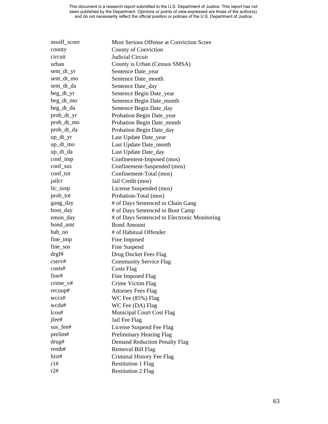| msoff_score | Most Serious Offense at Conviction Score     |
|-------------|----------------------------------------------|
| county      | <b>County of Conviction</b>                  |
| circuit     | Judicial Circuit                             |
| urban       | County is Urban (Census SMSA)                |
| sent_dt_yr  | Sentence Date_year                           |
| sent_dt_mo  | Sentence Date_month                          |
| sent_dt_da  | Sentence Date_day                            |
| beg_dt_yr   | Sentence Begin Date_year                     |
| beg_dt_mo   | Sentence Begin Date_month                    |
| beg_dt_da   | Sentence Begin Date_day                      |
| prob_dt_yr  | Probation Begin Date_year                    |
| prob_dt_mo  | Probation Begin Date_month                   |
| prob_dt_da  | Probation Begin Date_day                     |
| $up_d tyr$  | Last Update Date_year                        |
| up_dt_mo    | Last Update Date_month                       |
| up_dt_da    | Last Update Date_day                         |
| conf_imp    | Confinement-Imposed (mos)                    |
| conf_sus    | Confinement-Suspended (mos)                  |
| conf_tot    | Confinement-Total (mos)                      |
| jailcr      | Jail Credit (mos)                            |
| lic_susp    | License Suspended (mos)                      |
| prob_tot    | Probation-Total (mos)                        |
| gang_day    | # of Days Sentenced to Chain Gang            |
| boot_day    | # of Days Sentenced to Boot Camp             |
| emon_day    | # of Days Sentenced to Electronic Monitoring |
| bond_amt    | <b>Bond Amount</b>                           |
| hab_no      | # of Habitual Offender                       |
| fine_imp    | Fine Imposed                                 |
| fine_sus    | Fine Suspend                                 |
| drgf#       | Drug Docket Fees Flag                        |
| cserv#      | <b>Community Service Flag</b>                |
| costs#      | <b>Costs Flag</b>                            |
| fine#       | Fine Imposed Flag                            |
| $crime_v#$  | Crime Victim Flag                            |
| recoup#     | <b>Attorney Fees Flag</b>                    |
| wccs#       | $WC$ Fee $(85%)$ Flag                        |
| wcda#       | WC Fee (DA) Flag                             |
| $l\cos\#$   | Municipal Court Cost Flag                    |
| jfee#       | Jail Fee Flag                                |
| sus_fee#    | License Suspend Fee Flag                     |
| prelim#     | Preliminary Hearing Flag                     |
| drug#       | <b>Demand Reduction Penalty Flag</b>         |
| remb#       | Removal Bill Flag                            |
| hist#       | Criminal History Fee Flag                    |
| r1#         | <b>Restitution 1 Flag</b>                    |
| r2#         | <b>Restitution 2 Flag</b>                    |